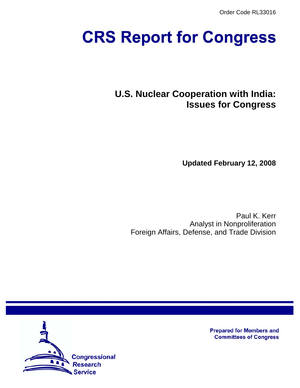Order Code RL33016

# **CRS Report for Congress**

# **U.S. Nuclear Cooperation with India: Issues for Congress**

**Updated February 12, 2008**

Paul K. Kerr Analyst in Nonproliferation Foreign Affairs, Defense, and Trade Division



**Prepared for Members and Committees of Congress**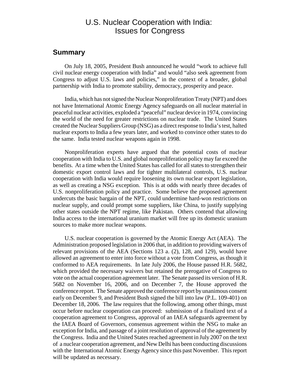## U.S. Nuclear Cooperation with India: Issues for Congress

#### **Summary**

On July 18, 2005, President Bush announced he would "work to achieve full civil nuclear energy cooperation with India" and would "also seek agreement from Congress to adjust U.S. laws and policies," in the context of a broader, global partnership with India to promote stability, democracy, prosperity and peace.

India, which has not signed the Nuclear Nonproliferation Treaty (NPT) and does not have International Atomic Energy Agency safeguards on all nuclear material in peaceful nuclear activities, exploded a "peaceful" nuclear device in 1974, convincing the world of the need for greater restrictions on nuclear trade. The United States created the Nuclear Suppliers Group (NSG) as a direct response to India's test, halted nuclear exports to India a few years later, and worked to convince other states to do the same. India tested nuclear weapons again in 1998.

Nonproliferation experts have argued that the potential costs of nuclear cooperation with India to U.S. and global nonproliferation policy may far exceed the benefits. At a time when the United States has called for all states to strengthen their domestic export control laws and for tighter multilateral controls, U.S. nuclear cooperation with India would require loosening its own nuclear export legislation, as well as creating a NSG exception. This is at odds with nearly three decades of U.S. nonproliferation policy and practice. Some believe the proposed agreement undercuts the basic bargain of the NPT, could undermine hard-won restrictions on nuclear supply, and could prompt some suppliers, like China, to justify supplying other states outside the NPT regime, like Pakistan. Others contend that allowing India access to the international uranium market will free up its domestic uranium sources to make more nuclear weapons.

U.S. nuclear cooperation is governed by the Atomic Energy Act (AEA). The Administration proposed legislation in 2006 that, in addition to providing waivers of relevant provisions of the AEA (Sections 123 a. (2), 128, and 129), would have allowed an agreement to enter into force without a vote from Congress, as though it conformed to AEA requirements. In late July 2006, the House passed H.R. 5682, which provided the necessary waivers but retained the prerogative of Congress to vote on the actual cooperation agreement later. The Senate passed its version of H.R. 5682 on November 16, 2006, and on December 7, the House approved the conference report. The Senate approved the conference report by unanimous consent early on December 9, and President Bush signed the bill into law (P.L. 109-401) on December 18, 2006. The law requires that the following, among other things, must occur before nuclear cooperation can proceed: submission of a finalized text of a cooperation agreement to Congress, approval of an IAEA safeguards agreement by the IAEA Board of Governors, consensus agreement within the NSG to make an exception for India, and passage of a joint resolution of approval of the agreement by the Congress. India and the United States reached agreement in July 2007 on the text of a nuclear cooperation agreement, and New Delhi has been conducting discussions with the International Atomic Energy Agency since this past November. This report will be updated as necessary.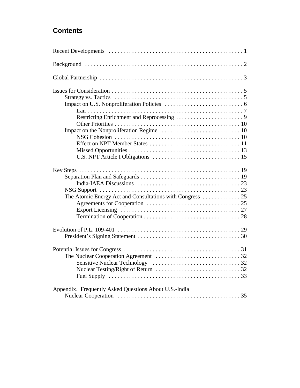# **Contents**

| Strategy vs. Tactics $\dots \dots \dots \dots \dots \dots \dots \dots \dots \dots \dots \dots \dots \dots \dots$ |
|------------------------------------------------------------------------------------------------------------------|
|                                                                                                                  |
|                                                                                                                  |
|                                                                                                                  |
| Appendix. Frequently Asked Questions About U.S.-India                                                            |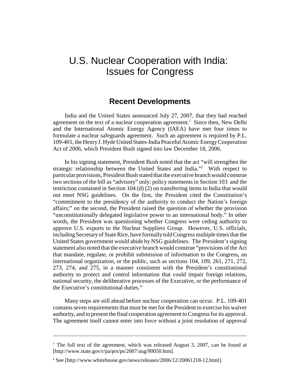# U.S. Nuclear Cooperation with India: Issues for Congress

## **Recent Developments**

India and the United States announced July 27, 2007, that they had reached agreement on the text of a nuclear cooperation agreement.<sup>1</sup> Since then, New Delhi and the International Atomic Energy Agency (IAEA) have met four times to formulate a nuclear safeguards agreement. Such an agreement is required by P.L. 109-401, the Henry J. Hyde United States-India Peaceful Atomic Energy Cooperation Act of 2006, which President Bush signed into law December 18, 2006.

In his signing statement, President Bush noted that the act "will strengthen the strategic relationship between the United States and India."<sup>2</sup> With respect to particular provisions, President Bush stated that the executive branch would construe two sections of the bill as "advisory" only: policy statements in Section 103 and the restriction contained in Section 104 (d) (2) on transferring items to India that would not meet NSG guidelines. On the first, the President cited the Constitution's "commitment to the presidency of the authority to conduct the Nation's foreign affairs;" on the second, the President raised the question of whether the provision "unconstitutionally delegated legislative power to an international body." In other words, the President was questioning whether Congress were ceding authority to approve U.S. exports to the Nuclear Suppliers Group. However, U.S. officials, including Secretary of State Rice, have formally told Congress multiple times that the United States government would abide by NSG guidelines. The President's signing statement also noted that the executive branch would construe "provisions of the Act that mandate, regulate, or prohibit submission of information to the Congress, an international organization, or the public, such as sections 104, 109, 261, 271, 272, 273, 274, and 275, in a manner consistent with the President's constitutional authority to protect and control information that could impair foreign relations, national security, the deliberative processes of the Executive, or the performance of the Executive's constitutional duties."

Many steps are still ahead before nuclear cooperation can occur. P.L. 109-401 contains seven requirements that must be met for the President to exercise his waiver authority, and to present the final cooperation agreement to Congress for its approval. The agreement itself cannot enter into force without a joint resolution of approval

<sup>&</sup>lt;sup>1</sup> The full text of the agreement, which was released August 3, 2007, can be found at [http://www.state.gov/r/pa/prs/ps/2007/aug/90050.htm].

<sup>&</sup>lt;sup>2</sup> See [http://www.whitehouse.gov/news/releases/2006/12/20061218-12.html].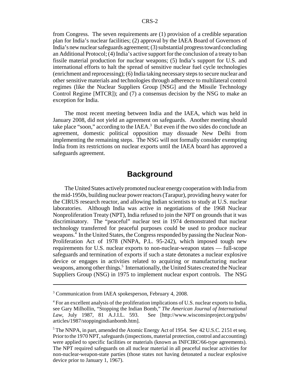from Congress. The seven requirements are (1) provision of a credible separation plan for India's nuclear facilities; (2) approval by the IAEA Board of Governors of India's new nuclear safeguards agreement; (3) substantial progress toward concluding an Additional Protocol; (4) India's active support for the conclusion of a treaty to ban fissile material production for nuclear weapons; (5) India's support for U.S. and international efforts to halt the spread of sensitive nuclear fuel cycle technologies (enrichment and reprocessing); (6) India taking necessary steps to secure nuclear and other sensitive materials and technologies through adherence to multilateral control regimes (like the Nuclear Suppliers Group [NSG] and the Missile Technology Control Regime [MTCR]); and (7) a consensus decision by the NSG to make an exception for India.

The most recent meeting between India and the IAEA, which was held in January 2008, did not yield an agreement on safeguards. Another meeting should take place "soon," according to the IAEA. $3$  But even if the two sides do conclude an agreement, domestic political opposition may dissuade New Delhi from implementing the remaining steps. The NSG will not formally consider exempting India from its restrictions on nuclear exports until the IAEA board has approved a safeguards agreement.

## **Background**

The United States actively promoted nuclear energy cooperation with India from the mid-1950s, building nuclear power reactors (Tarapur), providing heavy water for the CIRUS research reactor, and allowing Indian scientists to study at U.S. nuclear laboratories. Although India was active in negotiations of the 1968 Nuclear Nonproliferation Treaty (NPT), India refused to join the NPT on grounds that it was discriminatory. The "peaceful" nuclear test in 1974 demonstrated that nuclear technology transferred for peaceful purposes could be used to produce nuclear weapons.4 In the United States, the Congress responded by passing the Nuclear Non-Proliferation Act of 1978 (NNPA, P.L. 95-242), which imposed tough new requirements for U.S. nuclear exports to non-nuclear-weapon states — full-scope safeguards and termination of exports if such a state detonates a nuclear explosive device or engages in activities related to acquiring or manufacturing nuclear weapons, among other things.<sup>5</sup> Internationally, the United States created the Nuclear Suppliers Group (NSG) in 1975 to implement nuclear export controls. The NSG

<sup>&</sup>lt;sup>3</sup> Communication from IAEA spokesperson, February 4, 2008.

<sup>&</sup>lt;sup>4</sup> For an excellent analysis of the proliferation implications of U.S. nuclear exports to India, see Gary Milhollin, "Stopping the Indian Bomb," *The American Journal of International Law*, July 1987, 81 A.J.I.L. 593. See [http://www.wisconsinproject.org/pubs/ articles/1987/stoppingindianbomb.htm].

<sup>&</sup>lt;sup>5</sup> The NNPA, in part, amended the Atomic Energy Act of 1954. See 42 U.S.C. 2151 et seq. Prior to the 1970 NPT, safeguards (inspections, material protection, control and accounting) were applied to specific facilities or materials (known as INFCIRC/66-type agreements). The NPT required safeguards on all nuclear material in all peaceful nuclear activities for non-nuclear-weapon-state parties (those states not having detonated a nuclear explosive device prior to January 1, 1967).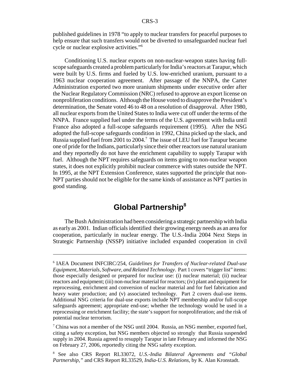published guidelines in 1978 "to apply to nuclear transfers for peaceful purposes to help ensure that such transfers would not be diverted to unsafeguarded nuclear fuel cycle or nuclear explosive activities."6

Conditioning U.S. nuclear exports on non-nuclear-weapon states having fullscope safeguards created a problem particularly for India's reactors at Tarapur, which were built by U.S. firms and fueled by U.S. low-enriched uranium, pursuant to a 1963 nuclear cooperation agreement. After passage of the NNPA, the Carter Administration exported two more uranium shipments under executive order after the Nuclear Regulatory Commission (NRC) refused to approve an export license on nonproliferation conditions. Although the House voted to disapprove the President's determination, the Senate voted 46 to 48 on a resolution of disapproval. After 1980, all nuclear exports from the United States to India were cut off under the terms of the NNPA. France supplied fuel under the terms of the U.S. agreement with India until France also adopted a full-scope safeguards requirement (1995). After the NSG adopted the full-scope safeguards condition in 1992, China picked up the slack, and Russia supplied fuel from 2001 to 2004.<sup>7</sup> The issue of LEU fuel for Tarapur became one of pride for the Indians, particularly since their other reactors use natural uranium and they reportedly do not have the enrichment capability to supply Tarapur with fuel. Although the NPT requires safeguards on items going to non-nuclear weapon states, it does not explicitly prohibit nuclear commerce with states outside the NPT. In 1995, at the NPT Extension Conference, states supported the principle that non-NPT parties should not be eligible for the same kinds of assistance as NPT parties in good standing.

## **Global Partnership8**

The Bush Administration had been considering a strategic partnership with India as early as 2001. Indian officials identified their growing energy needs as an area for cooperation, particularly in nuclear energy. The U.S.-India 2004 Next Steps in Strategic Partnership (NSSP) initiative included expanded cooperation in civil

<sup>6</sup> IAEA Document INFCIRC/254, *Guidelines for Transfers of Nuclear-related Dual-use Equipment, Materials, Software, and Related Technology*. Part 1 covers "trigger list" items: those especially designed or prepared for nuclear use: (i) nuclear material; (ii) nuclear reactors and equipment; (iii) non-nuclear material for reactors; (iv) plant and equipment for reprocessing, enrichment and conversion of nuclear material and for fuel fabrication and heavy water production; and (v) associated technology. Part 2 covers dual-use items. Additional NSG criteria for dual-use exports include NPT membership and/or full-scope safeguards agreement; appropriate end-use; whether the technology would be used in a reprocessing or enrichment facility; the state's support for nonproliferation; and the risk of potential nuclear terrorism.

 $7$  China was not a member of the NSG until 2004. Russia, an NSG member, exported fuel, citing a safety exception, but NSG members objected so strongly that Russia suspended supply in 2004. Russia agreed to resupply Tarapur in late February and informed the NSG on February 27, 2006, reportedly citing the NSG safety exception.

<sup>8</sup> See also CRS Report RL33072, *U.S.-India Bilateral Agreements and "Global Partnership,"* and CRS Report RL33529, *India-U.S. Relations,* by K. Alan Kronstadt.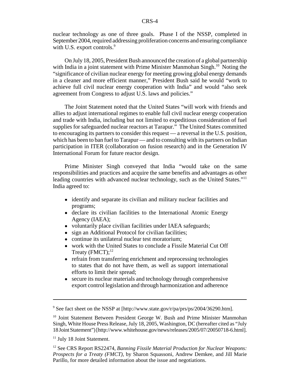nuclear technology as one of three goals. Phase I of the NSSP, completed in September 2004, required addressing proliferation concerns and ensuring compliance with U.S. export controls.<sup>9</sup>

On July 18, 2005, President Bush announced the creation of a global partnership with India in a joint statement with Prime Minister Manmohan Singh.<sup>10</sup> Noting the "significance of civilian nuclear energy for meeting growing global energy demands in a cleaner and more efficient manner," President Bush said he would "work to achieve full civil nuclear energy cooperation with India" and would "also seek agreement from Congress to adjust U.S. laws and policies."

The Joint Statement noted that the United States "will work with friends and allies to adjust international regimes to enable full civil nuclear energy cooperation and trade with India, including but not limited to expeditious consideration of fuel supplies for safeguarded nuclear reactors at Tarapur." The United States committed to encouraging its partners to consider this request — a reversal in the U.S. position, which has been to ban fuel to Tarapur — and to consulting with its partners on Indian participation in ITER (collaboration on fusion research) and in the Generation IV International Forum for future reactor design.

Prime Minister Singh conveyed that India "would take on the same responsibilities and practices and acquire the same benefits and advantages as other leading countries with advanced nuclear technology, such as the United States."<sup>11</sup> India agreed to:

- identify and separate its civilian and military nuclear facilities and programs;
- declare its civilian facilities to the International Atomic Energy Agency (IAEA);
- voluntarily place civilian facilities under IAEA safeguards;
- sign an Additional Protocol for civilian facilities:
- continue its unilateral nuclear test moratorium:
- ! work with the United States to conclude a Fissile Material Cut Off Treaty  $(FMCT)$ ;<sup>12</sup>
- refrain from transferring enrichment and reprocessing technologies to states that do not have them, as well as support international efforts to limit their spread;
- secure its nuclear materials and technology through comprehensive export control legislation and through harmonization and adherence

<sup>&</sup>lt;sup>9</sup> See fact sheet on the NSSP at [http://www.state.gov/r/pa/prs/ps/2004/36290.htm].

<sup>&</sup>lt;sup>10</sup> Joint Statement Between President George W. Bush and Prime Minister Manmohan Singh, White House Press Release, July 18, 2005, Washington, DC (hereafter cited as "July 18 Joint Statement") [http://www.whitehouse.gov/news/releases/2005/07/20050718-6.html].

<sup>&</sup>lt;sup>11</sup> July 18 Joint Statement.

<sup>12</sup> See CRS Report RS22474, *Banning Fissile Material Production for Nuclear Weapons: Prospects for a Treaty (FMCT)*, by Sharon Squassoni, Andrew Demkee, and Jill Marie Parillo, for more detailed information about the issue and negotiations.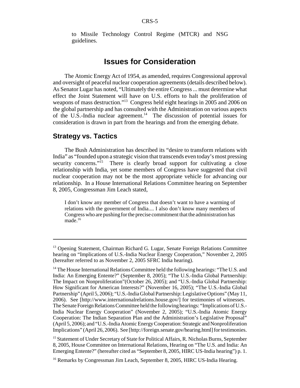to Missile Technology Control Regime (MTCR) and NSG guidelines.

## **Issues for Consideration**

The Atomic Energy Act of 1954, as amended, requires Congressional approval and oversight of peaceful nuclear cooperation agreements (details described below). As Senator Lugar has noted, "Ultimately the entire Congress ... must determine what effect the Joint Statement will have on U.S. efforts to halt the proliferation of weapons of mass destruction."13 Congress held eight hearings in 2005 and 2006 on the global partnership and has consulted with the Administration on various aspects of the U.S.-India nuclear agreement.<sup>14</sup> The discussion of potential issues for consideration is drawn in part from the hearings and from the emerging debate.

## **Strategy vs. Tactics**

The Bush Administration has described its "desire to transform relations with India" as "founded upon a strategic vision that transcends even today's most pressing security concerns."<sup>15</sup> There is clearly broad support for cultivating a close relationship with India, yet some members of Congress have suggested that civil nuclear cooperation may not be the most appropriate vehicle for advancing our relationship. In a House International Relations Committee hearing on September 8, 2005, Congressman Jim Leach stated,

I don't know any member of Congress that doesn't want to have a warming of relations with the government of India.... I also don't know many members of Congress who are pushing for the precise commitment that the administration has made. $16$ 

<sup>&</sup>lt;sup>13</sup> Opening Statement, Chairman Richard G. Lugar, Senate Foreign Relations Committee hearing on "Implications of U.S.-India Nuclear Energy Cooperation," November 2, 2005 (hereafter referred to as November 2, 2005 SFRC India hearing).

<sup>&</sup>lt;sup>14</sup> The House International Relations Committee held the following hearings: "The U.S. and India: An Emerging Entente?" (September 8, 2005); "The U.S.-India Global Partnership: The Impact on Nonproliferation"(October 26, 2005); and "U.S.-India Global Partnership: How Significant for American Interests?" (November 16, 2005); "The U.S.-India Global Partnership" (April 5, 2006); "U.S.-India Global Partnership: Legislative Options" (May 11, 2006). See [http://www.internationalrelations.house.gov/] for testimonies of witnesses. The Senate Foreign Relations Committee held the following hearings: "Implications of U.S.- India Nuclear Energy Cooperation" (November 2, 2005); "U.S.-India Atomic Energy Cooperation: The Indian Separation Plan and the Administration's Legislative Proposal" (April 5, 2006); and "U.S.-India Atomic Energy Cooperation: Strategic and Nonproliferation Implications" (April 26, 2006). See [http://foreign.senate.gov/hearing.html] for testimonies.

<sup>&</sup>lt;sup>15</sup> Statement of Under Secretary of State for Political Affairs, R. Nicholas Burns, September 8, 2005, House Committee on International Relations, Hearing on "The U.S. and India: An Emerging Entente?" (hereafter cited as "September 8, 2005, HIRC US-India hearing") p. 1.

<sup>&</sup>lt;sup>16</sup> Remarks by Congressman Jim Leach, September 8, 2005, HIRC US-India Hearing.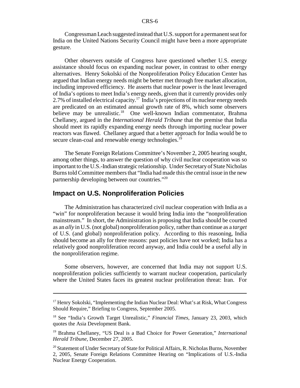Congressman Leach suggested instead that U.S. support for a permanent seat for India on the United Nations Security Council might have been a more appropriate gesture.

Other observers outside of Congress have questioned whether U.S. energy assistance should focus on expanding nuclear power, in contrast to other energy alternatives. Henry Sokolski of the Nonproliferation Policy Education Center has argued that Indian energy needs might be better met through free market allocation, including improved efficiency. He asserts that nuclear power is the least leveraged of India's options to meet India's energy needs, given that it currently provides only 2.7% of installed electrical capacity.<sup>17</sup> India's projections of its nuclear energy needs are predicated on an estimated annual growth rate of 8%, which some observers believe may be unrealistic.<sup>18</sup> One well-known Indian commentator, Brahma Chellaney, argued in the *International Herald Tribune* that the premise that India should meet its rapidly expanding energy needs through importing nuclear power reactors was flawed. Chellaney argued that a better approach for India would be to secure clean-coal and renewable energy technologies.<sup>19</sup>

The Senate Foreign Relations Committee's November 2, 2005 hearing sought, among other things, to answer the question of why civil nuclear cooperation was so important to the U.S.-Indian strategic relationship. Under Secretary of State Nicholas Burns told Committee members that "India had made this the central issue in the new partnership developing between our countries."20

### **Impact on U.S. Nonproliferation Policies**

The Administration has characterized civil nuclear cooperation with India as a "win" for nonproliferation because it would bring India into the "nonproliferation mainstream." In short, the Administration is proposing that India should be courted as an *ally* in U.S. (not global) nonproliferation policy, rather than continue as a *target* of U.S. (and global) nonproliferation policy. According to this reasoning, India should become an ally for three reasons: past policies have not worked; India has a relatively good nonproliferation record anyway, and India could be a useful ally in the nonproliferation regime.

Some observers, however, are concerned that India may not support U.S. nonproliferation policies sufficiently to warrant nuclear cooperation, particularly where the United States faces its greatest nuclear proliferation threat: Iran. For

<sup>&</sup>lt;sup>17</sup> Henry Sokolski, "Implementing the Indian Nuclear Deal: What's at Risk, What Congress Should Require," Briefing to Congress, September 2005.

<sup>18</sup> See "India's Growth Target Unrealistic," *Financial Times*, January 23, 2003, which quotes the Asia Development Bank.

<sup>19</sup> Brahma Chellaney, "US Deal is a Bad Choice for Power Generation," *International Herald Tribune*, December 27, 2005.

<sup>&</sup>lt;sup>20</sup> Statement of Under Secretary of State for Political Affairs, R. Nicholas Burns, November 2, 2005, Senate Foreign Relations Committee Hearing on "Implications of U.S.-India Nuclear Energy Cooperation.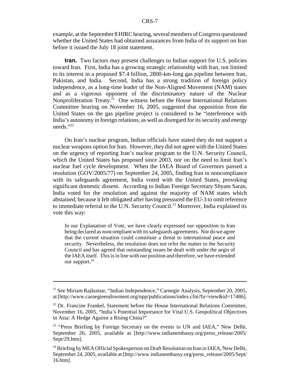example, at the September 8 HIRC hearing, several members of Congress questioned whether the United States had obtained assurances from India of its support on Iran before it issued the July 18 joint statement.

**Iran.** Two factors may present challenges to Indian support for U.S. policies toward Iran. First, India has a growing strategic relationship with Iran, not limited to its interest in a proposed \$7.4 billion, 2800-km-long gas pipeline between Iran, Pakistan, and India. Second, India has a strong tradition of foreign policy independence, as a long-time leader of the Non-Aligned Movement (NAM) states and as a vigorous opponent of the discriminatory nature of the Nuclear Nonproliferation Treaty.<sup>21</sup> One witness before the House International Relations Committee hearing on November 16, 2005, suggested that opposition from the United States on the gas pipeline project is considered to be "interference with India's autonomy in foreign relations, as well as disregard for its security and energy needs."22

On Iran's nuclear program, Indian officials have stated they do not support a nuclear weapons option for Iran. However, they did not agree with the United States on the urgency of reporting Iran's nuclear program to the U.N. Security Council, which the United States has proposed since 2003, nor on the need to limit Iran's nuclear fuel cycle development. When the IAEA Board of Governors passed a resolution (GOV/2005/77) on September 24, 2005, finding Iran in noncompliance with its safeguards agreement, India voted with the United States, provoking significant domestic dissent. According to Indian Foreign Secretary Shyam Saran, India voted for the resolution and against the majority of NAM states which abstained, because it felt obligated after having pressured the EU-3 to omit reference to immediate referral to the U.N. Security Council.<sup>23</sup> Moreover, India explained its vote this way:

In our Explanation of Vote, we have clearly expressed our opposition to Iran being declared as noncompliant with its safeguards agreements. Nor do we agree that the current situation could constitute a threat to international peace and security. Nevertheless, the resolution does not refer the matter to the Security Council and has agreed that outstanding issues be dealt with under the aegis of the IAEA itself. This is in line with our position and therefore, we have extended our support.<sup>24</sup>

<sup>21</sup> See Miriam Rajkumar, "Indian Independence," Carnegie Analysis, September 20, 2005, at [http://www.carnegieendowment.org/npp/publications/index.cfm?fa=view&id=17486].

<sup>&</sup>lt;sup>22</sup> Dr. Francine Frankel, Statement before the House International Relations Committee, November 16, 2005, "India's Potential Importance for Vital U.S. Geopolitical Objectives in Asia: A Hedge Against a Rising China?"

<sup>&</sup>lt;sup>23</sup> "Press Briefing by Foreign Secretary on the events in UN and IAEA," New Delhi, September 26, 2005, available at [http://www.indianembassy.org/press\_release/2005/ Sept/29.htm].

<sup>&</sup>lt;sup>24</sup> Briefing by MEA Official Spokesperson on Draft Resolution on Iran in IAEA, New Delhi, September 24, 2005, available at [http://www.indianembassy.org/press\_release/2005/Sept/ 16.htm].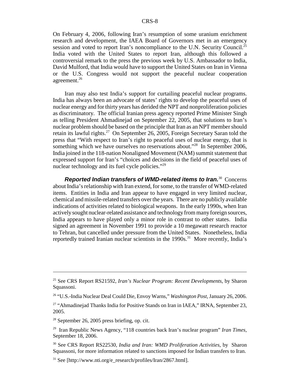On February 4, 2006, following Iran's resumption of some uranium enrichment research and development, the IAEA Board of Governors met in an emergency session and voted to report Iran's noncompliance to the U.N. Security Council.<sup>25</sup> India voted with the United States to report Iran, although this followed a controversial remark to the press the previous week by U.S. Ambassador to India, David Mulford, that India would have to support the United States on Iran in Vienna or the U.S. Congress would not support the peaceful nuclear cooperation agreement.<sup>26</sup>

Iran may also test India's support for curtailing peaceful nuclear programs. India has always been an advocate of states' rights to develop the peaceful uses of nuclear energy and for thirty years has derided the NPT and nonproliferation policies as discriminatory. The official Iranian press agency reported Prime Minister Singh as telling President Ahmadinejad on September 22, 2005, that solutions to Iran's nuclear problem should be based on the principle that Iran as an NPT member should retain its lawful rights.<sup>27</sup> On September 26, 2005, Foreign Secretary Saran told the press that "With respect to Iran's right to peaceful uses of nuclear energy, that is something which we have ourselves no reservations about."<sup>28</sup> In September 2006, India joined in the 118-nation Nonaligned Movement (NAM) summit statement that expressed support for Iran's "choices and decisions in the field of peaceful uses of nuclear technology and its fuel cycle policies."<sup>29</sup>

**Reported Indian transfers of WMD-related items to Iran.<sup>30</sup> Concerns** about India's relationship with Iran extend, for some, to the transfer of WMD-related items. Entities in India and Iran appear to have engaged in very limited nuclear, chemical and missile-related transfers over the years. There are no publicly available indications of activities related to biological weapons. In the early 1990s, when Iran actively sought nuclear-related assistance and technology from many foreign sources, India appears to have played only a minor role in contrast to other states. India signed an agreement in November 1991 to provide a 10 megawatt research reactor to Tehran, but cancelled under pressure from the United States. Nonetheless, India reportedly trained Iranian nuclear scientists in the 1990s.<sup>31</sup> More recently, India's

<sup>25</sup> See CRS Report RS21592, *Iran's Nuclear Program: Recent Developments*, by Sharon Squassoni.

<sup>26 &</sup>quot;U.S.-India Nuclear Deal Could Die, Envoy Warns," *Washington Post*, January 26, 2006.

<sup>&</sup>lt;sup>27</sup> "Ahmadinejad Thanks India for Positive Stands on Iran in IAEA," IRNA, September 23, 2005.

<sup>28</sup> September 26, 2005 press briefing, op. cit.

<sup>29</sup> Iran Republic News Agency, "118 countries back Iran's nuclear program" *Iran Times,* September 18, 2006.

<sup>30</sup> See CRS Report RS22530, *India and Iran: WMD Proliferation Activities,* by Sharon Squassoni, for more information related to sanctions imposed for Indian transfers to Iran.

<sup>31</sup> See [http://www.nti.org/e\_research/profiles/Iran/2867.html].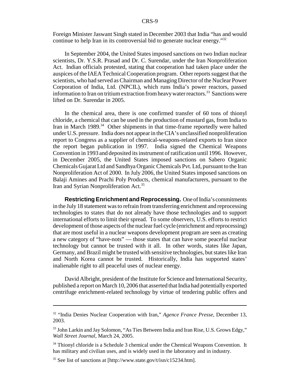Foreign Minister Jaswant Singh stated in December 2003 that India "has and would continue to help Iran in its controversial bid to generate nuclear energy."32

In September 2004, the United States imposed sanctions on two Indian nuclear scientists, Dr. Y.S.R. Prasad and Dr. C. Surendar, under the Iran Nonproliferation Act. Indian officials protested, stating that cooperation had taken place under the auspices of the IAEA Technical Cooperation program. Other reports suggest that the scientists, who had served as Chairman and Managing Director of the Nuclear Power Corporation of India, Ltd. (NPCIL), which runs India's power reactors, passed information to Iran on tritium extraction from heavy water reactors.<sup>33</sup> Sanctions were lifted on Dr. Surendar in 2005.

In the chemical area, there is one confirmed transfer of 60 tons of thionyl chloride, a chemical that can be used in the production of mustard gas, from India to Iran in March 1989.<sup>34</sup> Other shipments in that time-frame reportedly were halted under U.S. pressure. India does not appear in the CIA's unclassified nonproliferation report to Congress as a supplier of chemical-weapons-related exports to Iran since the report began publication in 1997. India signed the Chemical Weapons Convention in 1993 and deposited its instrument of ratification until 1996. However, in December 2005, the United States imposed sanctions on Sabero Organic Chemicals Gujarat Ltd and Sandhya Organic Chemicals Pvt. Ltd, pursuant to the Iran Nonproliferation Act of 2000. In July 2006, the United States imposed sanctions on Balaji Amines and Prachi Poly Products, chemical manufacturers, pursuant to the Iran and Syrian Nonproliferation Act.35

**Restricting Enrichment and Reprocessing.** One of India's commitments in the July 18 statement was to refrain from transferring enrichment and reprocessing technologies to states that do not already have those technologies and to support international efforts to limit their spread. To some observers, U.S. efforts to restrict development of those aspects of the nuclear fuel cycle (enrichment and reprocessing) that are most useful in a nuclear weapons development program are seen as creating a new category of "have-nots" — those states that can have some peaceful nuclear technology but cannot be trusted with it all. In other words, states like Japan, Germany, and Brazil might be trusted with sensitive technologies, but states like Iran and North Korea cannot be trusted. Historically, India has supported states' inalienable right to all peaceful uses of nuclear energy.

David Albright, president of the Institute for Science and International Security, published a report on March 10, 2006 that asserted that India had potentially exported centrifuge enrichment-related technology by virtue of tendering public offers and

<sup>32 &</sup>quot;India Denies Nuclear Cooperation with Iran," *Agence France Presse*, December 13, 2003.

<sup>&</sup>lt;sup>33</sup> John Larkin and Jay Solomon, "As Ties Between India and Iran Rise, U.S. Grows Edgy," *Wall Street Journal*, March 24, 2005.

<sup>&</sup>lt;sup>34</sup> Thionyl chloride is a Schedule 3 chemical under the Chemical Weapons Convention. It has military and civilian uses, and is widely used in the laboratory and in industry.

 $35$  See list of sanctions at [http://www.state.gov/t/isn/c15234.htm].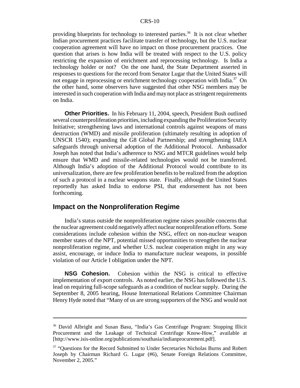providing blueprints for technology to interested parties.<sup>36</sup> It is not clear whether Indian procurement practices facilitate transfer of technology, but the U.S. nuclear cooperation agreement will have no impact on those procurement practices. One question that arises is how India will be treated with respect to the U.S. policy restricting the expansion of enrichment and reprocessing technology. Is India a technology holder or not? On the one hand, the State Department asserted in responses to questions for the record from Senator Lugar that the United States will not engage in reprocessing or enrichment technology cooperation with India.<sup>37</sup> On the other hand, some observers have suggested that other NSG members may be interested in such cooperation with India and may not place as stringent requirements on India.

**Other Priorities.** In his February 11, 2004, speech, President Bush outlined several counterproliferation priorities, including expanding the Proliferation Security Initiative; strengthening laws and international controls against weapons of mass destruction (WMD) and missile proliferation (ultimately resulting in adoption of UNSCR 1540); expanding the G8 Global Partnership; and strengthening IAEA safeguards through universal adoption of the Additional Protocol. Ambassador Joseph has noted that India's adherence to NSG and MTCR guidelines would help ensure that WMD and missile-related technologies would not be transferred. Although India's adoption of the Additional Protocol would contribute to its universalization, there are few proliferation benefits to be realized from the adoption of such a protocol in a nuclear weapons state. Finally, although the United States reportedly has asked India to endorse PSI, that endorsement has not been forthcoming.

## **Impact on the Nonproliferation Regime**

India's status outside the nonproliferation regime raises possible concerns that the nuclear agreement could negatively affect nuclear nonproliferation efforts. Some considerations include cohesion within the NSG, effect on non-nuclear weapon member states of the NPT, potential missed opportunities to strengthen the nuclear nonproliferation regime, and whether U.S. nuclear cooperation might in any way assist, encourage, or induce India to manufacture nuclear weapons, in possible violation of our Article I obligation under the NPT.

**NSG Cohesion.** Cohesion within the NSG is critical to effective implementation of export controls. As noted earlier, the NSG has followed the U.S. lead on requiring full-scope safeguards as a condition of nuclear supply. During the September 8, 2005 hearing, House International Relations Committee Chairman Henry Hyde noted that "Many of us are strong supporters of the NSG and would not

<sup>36</sup> David Albright and Susan Basu, "India's Gas Centrifuge Program: Stopping Illicit Procurement and the Leakage of Technical Centrifuge Know-How," available at [http://www.isis-online.org/publications/southasia/indianprocurement.pdf].

<sup>&</sup>lt;sup>37</sup> "Questions for the Record Submitted to Under Secretaries Nicholas Burns and Robert Joseph by Chairman Richard G. Lugar (#6), Senate Foreign Relations Committee, November 2, 2005."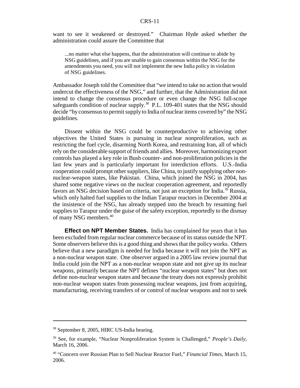want to see it weakened or destroyed." Chairman Hyde asked whether the administration could assure the Committee that

...no matter what else happens, that the administration will continue to abide by NSG guidelines, and if you are unable to gain consensus within the NSG for the amendments you need, you will not implement the new India policy in violation of NSG guidelines.

Ambassador Joseph told the Committee that "we intend to take no action that would undercut the effectiveness of the NSG," and further, that the Administration did not intend to change the consensus procedure or even change the NSG full-scope safeguards condition of nuclear supply.<sup>38</sup> P.L. 109-401 states that the NSG should decide "by consensus to permit supply to India of nuclear items covered by" the NSG guidelines.

Dissent within the NSG could be counterproductive to achieving other objectives the United States is pursuing in nuclear nonproliferation, such as restricting the fuel cycle, disarming North Korea, and restraining Iran, all of which rely on the considerable support of friends and allies. Moreover, harmonizing export controls has played a key role in Bush counter- and non-proliferation policies in the last few years and is particularly important for interdiction efforts. U.S.-India cooperation could prompt other suppliers, like China, to justify supplying other nonnuclear-weapon states, like Pakistan. China, which joined the NSG in 2004, has shared some negative views on the nuclear cooperation agreement, and reportedly favors an NSG decision based on criteria, not just an exception for India.39 Russia, which only halted fuel supplies to the Indian Tarapur reactors in December 2004 at the insistence of the NSG, has already stepped into the breach by resuming fuel supplies to Tarapur under the guise of the safety exception, reportedly to the dismay of many NSG members.40

**Effect on NPT Member States.** India has complained for years that it has been excluded from regular nuclear commerce because of its status outside the NPT. Some observers believe this is a good thing and shows that the policy works. Others believe that a new paradigm is needed for India because it will not join the NPT as a non-nuclear weapon state. One observer argued in a 2005 law review journal that India could join the NPT as a non-nuclear weapon state and not give up its nuclear weapons, primarily because the NPT defines "nuclear weapon states" but does not define non-nuclear weapon states and because the treaty does not expressly prohibit non-nuclear weapon states from possessing nuclear weapons, just from acquiring, manufacturing, receiving transfers of or control of nuclear weapons and not to seek

<sup>38</sup> September 8, 2005, HIRC US-India hearing.

<sup>39</sup> See, for example, "Nuclear Nonproliferation System is Challenged," *People's Daily,* March 16, 2006.

<sup>40 &</sup>quot;Concern over Russian Plan to Sell Nuclear Reactor Fuel," *Financial Times*, March 15, 2006.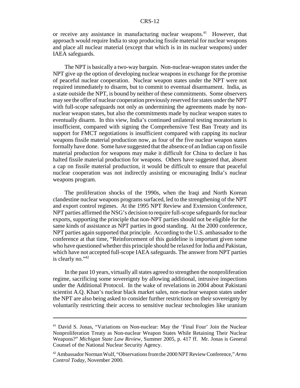or receive any assistance in manufacturing nuclear weapons.<sup>41</sup> However, that approach would require India to stop producing fissile material for nuclear weapons and place all nuclear material (except that which is in its nuclear weapons) under IAEA safeguards.

The NPT is basically a two-way bargain. Non-nuclear-weapon states under the NPT give up the option of developing nuclear weapons in exchange for the promise of peaceful nuclear cooperation. Nuclear weapon states under the NPT were not required immediately to disarm, but to commit to eventual disarmament. India, as a state outside the NPT, is bound by neither of these commitments. Some observers may see the offer of nuclear cooperation previously reserved for states under the NPT with full-scope safeguards not only as undermining the agreements made by nonnuclear weapon states, but also the commitments made by nuclear weapon states to eventually disarm. In this view, India's continued unilateral testing moratorium is insufficient, compared with signing the Comprehensive Test Ban Treaty and its support for FMCT negotiations is insufficient compared with capping its nuclear weapons fissile material production now, as four of the five nuclear weapon states formally have done. Some have suggested that the absence of an Indian cap on fissile material production for weapons may make it difficult for China to declare it has halted fissile material production for weapons. Others have suggested that, absent a cap on fissile material production, it would be difficult to ensure that peaceful nuclear cooperation was not indirectly assisting or encouraging India's nuclear weapons program.

The proliferation shocks of the 1990s, when the Iraqi and North Korean clandestine nuclear weapons programs surfaced, led to the strengthening of the NPT and export control regimes. At the 1995 NPT Review and Extension Conference, NPT parties affirmed the NSG's decision to require full-scope safeguards for nuclear exports, supporting the principle that non-NPT parties should not be eligible for the same kinds of assistance as NPT parties in good standing. At the 2000 conference, NPT parties again supported that principle. According to the U.S. ambassador to the conference at that time, "Reinforcement of this guideline is important given some who have questioned whether this principle should be relaxed for India and Pakistan, which have not accepted full-scope IAEA safeguards. The answer from NPT parties is clearly no."42

In the past 10 years, virtually all states agreed to strengthen the nonproliferation regime, sacrificing some sovereignty by allowing additional, intrusive inspections under the Additional Protocol. In the wake of revelations in 2004 about Pakistani scientist A.Q. Khan's nuclear black market sales, non-nuclear weapon states under the NPT are also being asked to consider further restrictions on their sovereignty by voluntarily restricting their access to sensitive nuclear technologies like uranium

<sup>41</sup> David S. Jonas, "Variations on Non-nuclear: May the 'Final Four' Join the Nuclear Nonproliferation Treaty as Non-nuclear Weapon States While Retaining Their Nuclear Weapons?" *Michigan State Law Review,* Summer 2005, p. 417 ff. Mr. Jonas is General Counsel of the National Nuclear Security Agency.

<sup>42</sup> Ambassador Norman Wulf, "Observations from the 2000 NPT Review Conference," *Arms Control Today*, November 2000.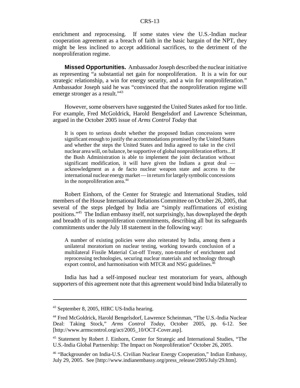enrichment and reprocessing. If some states view the U.S.-Indian nuclear cooperation agreement as a breach of faith in the basic bargain of the NPT, they might be less inclined to accept additional sacrifices, to the detriment of the nonproliferation regime.

**Missed Opportunities.** Ambassador Joseph described the nuclear initiative as representing "a substantial net gain for nonproliferation. It is a win for our strategic relationship, a win for energy security, and a win for nonproliferation." Ambassador Joseph said he was "convinced that the nonproliferation regime will emerge stronger as a result."<sup>43</sup>

However, some observers have suggested the United States asked for too little. For example, Fred McGoldrick, Harold Bengelsdorf and Lawrence Scheinman, argued in the October 2005 issue of *Arms Control Today* that

It is open to serious doubt whether the proposed Indian concessions were significant enough to justify the accommodations promised by the United States and whether the steps the United States and India agreed to take in the civil nuclear area will, on balance, be supportive of global nonproliferation efforts...If the Bush Administration is able to implement the joint declaration without significant modification, it will have given the Indians a great deal acknowledgment as a de facto nuclear weapon state and access to the international nuclear energy market — in return for largely symbolic concessions in the nonproliferation area.<sup>44</sup>

Robert Einhorn, of the Center for Strategic and International Studies, told members of the House International Relations Committee on October 26, 2005, that several of the steps pledged by India are "simply reaffirmations of existing positions."45 The Indian embassy itself, not surprisingly, has downplayed the depth and breadth of its nonproliferation commitments, describing all but its safeguards commitments under the July 18 statement in the following way:

A number of existing policies were also reiterated by India, among them a unilateral moratorium on nuclear testing, working towards conclusion of a multilateral Fissile Material Cut-off Treaty, non-transfer of enrichment and reprocessing technologies, securing nuclear materials and technology through export control, and harmonisation with MTCR and NSG guidelines.<sup>4</sup>

India has had a self-imposed nuclear test moratorium for years, although supporters of this agreement note that this agreement would bind India bilaterally to

<sup>43</sup> September 8, 2005, HIRC US-India hearing.

<sup>44</sup> Fred McGoldrick, Harold Bengelsdorf, Lawrence Scheinman, "The U.S.-India Nuclear Deal: Taking Stock," *Arms Control Today*, October 2005, pp. 6-12. See [http://www.armscontrol.org/act/2005\_10/OCT-Cover.asp].

<sup>45</sup> Statement by Robert J. Einhorn, Center for Strategic and International Studies, "The U.S.-India Global Partnership: The Impact on Nonproliferation" October 26, 2005.

<sup>46 &</sup>quot;Backgrounder on India-U.S. Civilian Nuclear Energy Cooperation," Indian Embassy, July 29, 2005. See [http://www.indianembassy.org/press\_release/2005/July/29.htm].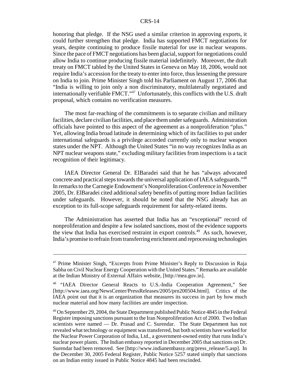honoring that pledge. If the NSG used a similar criterion in approving exports, it could further strengthen that pledge. India has supported FMCT negotiations for years, despite continuing to produce fissile material for use in nuclear weapons. Since the pace of FMCT negotiations has been glacial, support for negotiations could allow India to continue producing fissile material indefinitely. Moreover, the draft treaty on FMCT tabled by the United States in Geneva on May 18, 2006, would not require India's accession for the treaty to enter into force, thus lessening the pressure on India to join. Prime Minister Singh told his Parliament on August 17, 2006 that "India is willing to join only a non discriminatory, multilaterally negotiated and internationally verifiable FMCT."47 Unfortunately, this conflicts with the U.S. draft proposal, which contains no verification measures.

The most far-reaching of the commitments is to separate civilian and military facilities, declare civilian facilities, and place them under safeguards. Administration officials have pointed to this aspect of the agreement as a nonproliferation "plus." Yet, allowing India broad latitude in determining which of its facilities to put under international safeguards is a privilege accorded currently only to nuclear weapon states under the NPT. Although the United States "in no way recognizes India as an NPT nuclear weapons state," excluding military facilities from inspections is a tacit recognition of their legitimacy.

IAEA Director General Dr. ElBaradei said that he has "always advocated concrete and practical steps towards the universal application of IAEA safeguards."48 In remarks to the Carnegie Endowment's Nonproliferation Conference in November 2005, Dr. ElBaradei cited additional safety benefits of putting more Indian facilities under safeguards. However, it should be noted that the NSG already has an exception to its full-scope safeguards requirement for safety-related items.

The Administration has asserted that India has an "exceptional" record of nonproliferation and despite a few isolated sanctions, most of the evidence supports the view that India has exercised restraint in export controls.<sup>49</sup> As such, however, India's promise to refrain from transferring enrichment and reprocessing technologies

<sup>&</sup>lt;sup>47</sup> Prime Minister Singh, "Excerpts from Prime Minister's Reply to Discussion in Raja Sabha on Civil Nuclear Energy Cooperation with the United States." Remarks are available at the Indian Ministry of External Affairs website, [http://mea.gov.in].

<sup>&</sup>lt;sup>48</sup> "IAEA Director General Reacts to U.S.-India Cooperation Agreement," See [http://www.iaea.org/NewsCenter/PressReleases/2005/prn200504.html]. Critics of the IAEA point out that it is an organization that measures its success in part by how much nuclear material and how many facilities are under inspection.

<sup>&</sup>lt;sup>49</sup> On September 29, 2004, the State Department published Public Notice 4845 in the Federal Register imposing sanctions pursuant to the Iran Nonproliferation Act of 2000. Two Indian scientists were named — Dr. Prasad and C. Surendar. The State Department has not revealed what technology or equipment was transferred, but both scientists have worked for the Nuclear Power Corporation of India, Ltd., a government-owned entity that runs India's nuclear power plants. The Indian embassy reported in December 2005 that sanctions on Dr. Surendar had been removed. See [http://www.indianembassy.org/press\_release/5.asp]. In the December 30, 2005 Federal Register, Public Notice 5257 stated simply that sanctions on an Indian entity issued in Public Notice 4845 had been rescinded.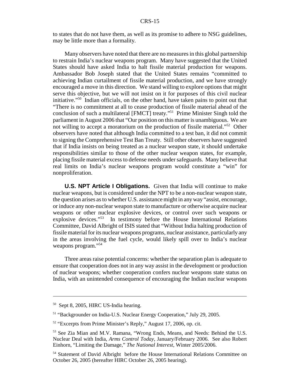to states that do not have them, as well as its promise to adhere to NSG guidelines, may be little more than a formality.

Many observers have noted that there are no measures in this global partnership to restrain India's nuclear weapons program. Many have suggested that the United States should have asked India to halt fissile material production for weapons. Ambassador Bob Joseph stated that the United States remains "committed to achieving Indian curtailment of fissile material production, and we have strongly encouraged a move in this direction. We stand willing to explore options that might serve this objective, but we will not insist on it for purposes of this civil nuclear initiative."50 Indian officials, on the other hand, have taken pains to point out that "There is no commitment at all to cease production of fissile material ahead of the conclusion of such a multilateral [FMCT] treaty."51 Prime Minister Singh told the parliament in August 2006 that "Our position on this matter is unambiguous. We are not willing to accept a moratorium on the production of fissile material."<sup>52</sup> Other observers have noted that although India committed to a test ban, it did not commit to signing the Comprehensive Test Ban Treaty. Still other observers have suggested that if India insists on being treated as a nuclear weapon state, it should undertake responsibilities similar to those of the other nuclear weapon states, for example, placing fissile material excess to defense needs under safeguards. Many believe that real limits on India's nuclear weapons program would constitute a "win" for nonproliferation.

**U.S. NPT Article I Obligations.** Given that India will continue to make nuclear weapons, but is considered under the NPT to be a non-nuclear weapon state, the question arises as to whether U.S. assistance might in any way "assist, encourage, or induce any non-nuclear weapon state to manufacture or otherwise acquire nuclear weapons or other nuclear explosive devices, or control over such weapons or explosive devices."53 In testimony before the House International Relations Committee, David Albright of ISIS stated that "Without India halting production of fissile material for its nuclear weapons programs, nuclear assistance, particularly any in the areas involving the fuel cycle, would likely spill over to India's nuclear weapons program."<sup>54</sup>

Three areas raise potential concerns: whether the separation plan is adequate to ensure that cooperation does not in any way assist in the development or production of nuclear weapons; whether cooperation confers nuclear weapons state status on India, with an unintended consequence of encouraging the Indian nuclear weapons

<sup>50</sup> Sept 8, 2005, HIRC US-India hearing.

<sup>51 &</sup>quot;Backgrounder on India-U.S. Nuclear Energy Cooperation," July 29, 2005.

<sup>&</sup>lt;sup>52</sup> "Excerpts from Prime Minister's Reply," August 17, 2006, op. cit.

<sup>53</sup> See Zia Mian and M.V. Ramana, "Wrong Ends, Means, and Needs: Behind the U.S. Nuclear Deal with India, *Arms Control Today*, January/February 2006. See also Robert Einhorn, "Limiting the Damage," *The National Interest,* Winter 2005/2006.

<sup>&</sup>lt;sup>54</sup> Statement of David Albright before the House International Relations Committee on October 26, 2005 (hereafter HIRC October 26, 2005 hearing).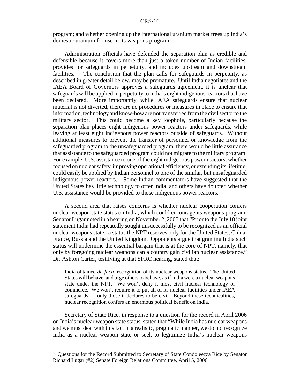program; and whether opening up the international uranium market frees up India's domestic uranium for use in its weapons program.

Administration officials have defended the separation plan as credible and defensible because it covers more than just a token number of Indian facilities, provides for safeguards in perpetuity, and includes upstream and downstream facilities.<sup>55</sup> The conclusion that the plan calls for safeguards in perpetuity, as described in greater detail below, may be premature. Until India negotiates and the IAEA Board of Governors approves a safeguards agreement, it is unclear that safeguards will be applied in perpetuity to India's eight indigenous reactors that have been declared. More importantly, while IAEA safeguards ensure that nuclear material is not diverted, there are no procedures or measures in place to ensure that information, technology and know-how are not transferred from the civil sector to the military sector. This could become a key loophole, particularly because the separation plan places eight indigenous power reactors under safeguards, while leaving at least eight indigenous power reactors outside of safeguards. Without additional measures to prevent the transfer of personnel or knowledge from the safeguarded program to the unsafeguarded program, there would be little assurance that assistance to the safeguarded program could not migrate to the military program. For example, U.S. assistance to one of the eight indigenous power reactors, whether focused on nuclear safety, improving operational efficiency, or extending its lifetime, could easily be applied by Indian personnel to one of the similar, but unsafeguarded indigenous power reactors. Some Indian commentators have suggested that the United States has little technology to offer India, and others have doubted whether U.S. assistance would be provided to those indigenous power reactors.

A second area that raises concerns is whether nuclear cooperation confers nuclear weapon state status on India, which could encourage its weapons program. Senator Lugar noted in a hearing on November 2, 2005 that "Prior to the July 18 joint statement India had repeatedly sought unsuccessfully to be recognized as an official nuclear weapons state, a status the NPT reserves only for the United States, China, France, Russia and the United Kingdom. Opponents argue that granting India such status will undermine the essential bargain that is at the core of NPT, namely, that only by foregoing nuclear weapons can a country gain civilian nuclear assistance." Dr. Ashton Carter, testifying at that SFRC hearing, stated that:

India obtained *de-facto* recognition of its nuclear weapons status. The United States will behave, and urge others to behave, as if India were a nuclear weapons state under the NPT. We won't deny it most civil nuclear technology or commerce. We won't require it to put all of its nuclear facilities under IAEA safeguards — only those it declares to be civil. Beyond these technicalities, nuclear recognition confers an enormous political benefit on India.

Secretary of State Rice, in response to a question for the record in April 2006 on India's nuclear weapon state status, stated that "While India has nuclear weapons and we must deal with this fact in a realistic, pragmatic manner, we do not recognize India as a nuclear weapon state or seek to legitimize India's nuclear weapons

<sup>&</sup>lt;sup>55</sup> Questions for the Record Submitted to Secretary of State Condoleezza Rice by Senator Richard Lugar (#2) Senate Foreign Relations Committee, April 5, 2006.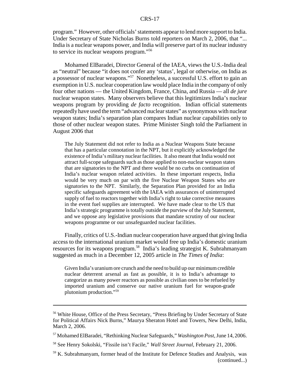program." However, other officials' statements appear to lend more support to India. Under Secretary of State Nicholas Burns told reporters on March 2, 2006, that "... India is a nuclear weapons power, and India will preserve part of its nuclear industry to service its nuclear weapons program."56

Mohamed ElBaradei, Director General of the IAEA, views the U.S.-India deal as "neutral" because "it does not confer any 'status', legal or otherwise, on India as a possessor of nuclear weapons."<sup>57</sup> Nonetheless, a successful U.S. effort to gain an exemption in U.S. nuclear cooperation law would place India in the company of only four other nations — the United Kingdom, France, China, and Russia — all *de jure* nuclear weapon states. Many observers believe that this legitimizes India's nuclear weapons program by providing *de facto* recognition. Indian official statements repeatedly have used the term "advanced nuclear states" as synonymous with nuclear weapon states; India's separation plan compares Indian nuclear capabilities only to those of other nuclear weapon states. Prime Minister Singh told the Parliament in August 2006 that

The July Statement did not refer to India as a Nuclear Weapons State because that has a particular connotation in the NPT, but it explicitly acknowledged the existence of India's military nuclear facilities. It also meant that India would not attract full-scope safeguards such as those applied to non-nuclear weapon states that are signatories to the NPT and there would be no curbs on continuation of India's nuclear weapon related activities. In these important respects, India would be very much on par with the five Nuclear Weapon States who are signatories to the NPT. Similarly, the Separation Plan provided for an India specific safeguards agreement with the IAEA with assurances of uninterrupted supply of fuel to reactors together with India's right to take corrective measures in the event fuel supplies are interrupted. We have made clear to the US that India's strategic programme is totally outside the purview of the July Statement, and we oppose any legislative provisions that mandate scrutiny of our nuclear weapons programme or our unsafeguarded nuclear facilities.

Finally, critics of U.S.-Indian nuclear cooperation have argued that giving India access to the international uranium market would free up India's domestic uranium resources for its weapons program.58 India's leading strategist K. Subrahmanyam suggested as much in a December 12, 2005 article in *The Times of India*:

Given India's uranium ore crunch and the need to build up our minimum credible nuclear deterrent arsenal as fast as possible, it is to India's advantage to categorize as many power reactors as possible as civilian ones to be refueled by imported uranium and conserve our native uranium fuel for weapon-grade plutonium production."59

<sup>&</sup>lt;sup>56</sup> White House, Office of the Press Secretary, "Press Briefing by Under Secretary of State for Political Affairs Nick Burns," Maurya Sheraton Hotel and Towers, New Delhi, India, March 2, 2006.

<sup>57</sup> Mohamed ElBaradei, "Rethinking Nuclear Safeguards," *Washington Post*, June 14, 2006.

<sup>58</sup> See Henry Sokolski, "Fissile isn't Facile," *Wall Street Journal,* February 21, 2006.

<sup>59</sup> K. Subrahmanyam, former head of the Institute for Defence Studies and Analysis, was (continued...)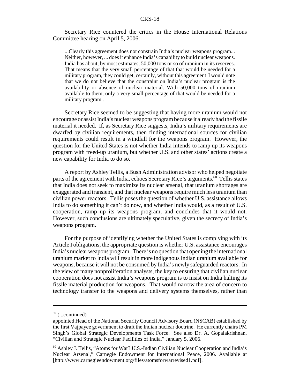Secretary Rice countered the critics in the House International Relations Committee hearing on April 5, 2006:

...Clearly this agreement does not constrain India's nuclear weapons program... Neither, however, ... does it enhance India's capability to build nuclear weapons. India has about, by most estimates, 50,000 tons or so of uranium in its reserves. That means that the very small percentage of that that would be needed for a military program, they could get, certainly, without this agreement I would note that we do not believe that the constraint on India's nuclear program is the availability or absence of nuclear material. With 50,000 tons of uranium available to them, only a very small percentage of that would be needed for a military program..

Secretary Rice seemed to be suggesting that having more uranium would not encourage or assist India's nuclear weapons program because it already had the fissile material it needed. If, as Secretary Rice suggests, India's military requirements are dwarfed by civilian requirements, then finding international sources for civilian requirements could result in a windfall for the weapons program. However, the question for the United States is not whether India intends to ramp up its weapons program with freed-up uranium, but whether U.S. and other states' actions create a new capability for India to do so.

A report by Ashley Tellis, a Bush Administration advisor who helped negotiate parts of the agreement with India, echoes Secretary Rice's arguments.<sup>60</sup> Tellis states that India does not seek to maximize its nuclear arsenal, that uranium shortages are exaggerated and transient, and that nuclear weapons require much less uranium than civilian power reactors. Tellis poses the question of whether U.S. assistance allows India to do something it can't do now, and whether India would, as a result of U.S. cooperation, ramp up its weapons program, and concludes that it would not. However, such conclusions are ultimately speculative, given the secrecy of India's weapons program.

For the purpose of identifying whether the United States is complying with its Article I obligations, the appropriate question is whether U.S. assistance encourages India's nuclear weapons program. There is no question that opening the international uranium market to India will result in more indigenous Indian uranium available for weapons, because it will not be consumed by India's newly safeguarded reactors. In the view of many nonproliferation analysts, the key to ensuring that civilian nuclear cooperation does not assist India's weapons program is to insist on India halting its fissile material production for weapons. That would narrow the area of concern to technology transfer to the weapons and delivery systems themselves, rather than

 $59$  (...continued)

appointed Head of the National Security Council Advisory Board (NSCAB) established by the first Vajpayee government to draft the Indian nuclear doctrine. He currently chairs PM Singh's Global Strategic Developments Task Force. See also Dr. A. Gopalakrishnan, "Civilian and Strategic Nuclear Facilities of India," January 5, 2006.

<sup>&</sup>lt;sup>60</sup> Ashley J. Tellis, "Atoms for War? U.S.-Indian Civilian Nuclear Cooperation and India's Nuclear Arsenal," Carnegie Endowment for International Peace, 2006. Available at [http://www.carnegieendowment.org/files/atomsforwarrevised1.pdf].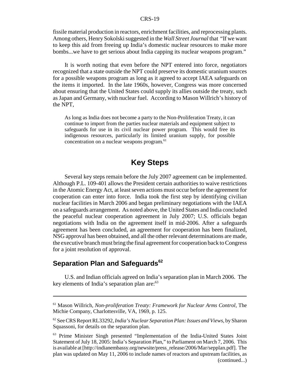fissile material production in reactors, enrichment facilities, and reprocessing plants. Among others, Henry Sokolski suggested in the *Wall Street Journal* that "If we want to keep this aid from freeing up India's domestic nuclear resources to make more bombs...we have to get serious about India capping its nuclear weapons program."

It is worth noting that even before the NPT entered into force, negotiators recognized that a state outside the NPT could preserve its domestic uranium sources for a possible weapons program as long as it agreed to accept IAEA safeguards on the items it imported. In the late 1960s, however, Congress was more concerned about ensuring that the United States could supply its allies outside the treaty, such as Japan and Germany, with nuclear fuel. According to Mason Willrich's history of the NPT,

As long as India does not become a party to the Non-Proliferation Treaty, it can continue to import from the parties nuclear materials and equipment subject to safeguards for use in its civil nuclear power program. This would free its indigenous resources, particularly its limited uranium supply, for possible concentration on a nuclear weapons program.<sup>61</sup>

## **Key Steps**

Several key steps remain before the July 2007 agreement can be implemented. Although P.L. 109-401 allows the President certain authorities to waive restrictions in the Atomic Energy Act, at least seven actions must occur before the agreement for cooperation can enter into force. India took the first step by identifying civilian nuclear facilities in March 2006 and began preliminary negotiations with the IAEA on a safeguards arrangement. As noted above, the United States and India concluded the peaceful nuclear cooperation agreement in July 2007; U.S. officials began negotiations with India on the agreement itself in mid-2006. After a safeguards agreement has been concluded, an agreement for cooperation has been finalized, NSG approval has been obtained, and all the other relevant determinations are made, the executive branch must bring the final agreement for cooperation back to Congress for a joint resolution of approval.

## **Separation Plan and Safeguards<sup>62</sup>**

U.S. and Indian officials agreed on India's separation plan in March 2006. The key elements of India's separation plan are: $63$ 

<sup>61</sup> Mason Willrich, *Non-proliferation Treaty: Framework for Nuclear Arms Control*, The Michie Company, Charlottesville, VA, 1969, p. 125.

<sup>62</sup> See CRS Report RL33292, *India's Nuclear Separation Plan: Issues and Views*, by Sharon Squassoni, for details on the separation plan.

<sup>63</sup> Prime Minister Singh presented "Implementation of the India-United States Joint Statement of July 18, 2005: India's Separation Plan," to Parliament on March 7, 2006. This is available at [http://indianembassy.org/newsite/press\_release/2006/Mar/sepplan.pdf]. The plan was updated on May 11, 2006 to include names of reactors and upstream facilities, as (continued...)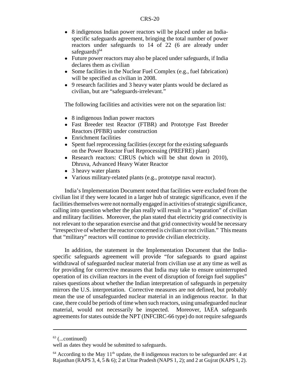- 8 indigenous Indian power reactors will be placed under an Indiaspecific safeguards agreement, bringing the total number of power reactors under safeguards to 14 of 22 (6 are already under safeguards $)^{64}$
- Future power reactors may also be placed under safeguards, if India declares them as civilian
- Some facilities in the Nuclear Fuel Complex (e.g., fuel fabrication) will be specified as civilian in 2008.
- 9 research facilities and 3 heavy water plants would be declared as civilian, but are "safeguards-irrelevant."

The following facilities and activities were not on the separation list:

- 8 indigenous Indian power reactors
- Fast Breeder test Reactor (FTBR) and Prototype Fast Breeder Reactors (PFBR) under construction
- Enrichment facilities
- Spent fuel reprocessing facilities (except for the existing safeguards on the Power Reactor Fuel Reprocessing (PREFRE) plant)
- Research reactors: CIRUS (which will be shut down in 2010), Dhruva, Advanced Heavy Water Reactor
- 3 heavy water plants
- ! Various military-related plants (e.g., prototype naval reactor).

India's Implementation Document noted that facilities were excluded from the civilian list if they were located in a larger hub of strategic significance, even if the facilities themselves were not normally engaged in activities of strategic significance, calling into question whether the plan really will result in a "separation" of civilian and military facilities. Moreover, the plan stated that electricity grid connectivity is not relevant to the separation exercise and that grid connectivity would be necessary "irrespective of whether the reactor concerned is civilian or not civilian." This means that "military" reactors will continue to provide civilian electricity.

In addition, the statement in the Implementation Document that the Indiaspecific safeguards agreement will provide "for safeguards to guard against withdrawal of safeguarded nuclear material from civilian use at any time as well as for providing for corrective measures that India may take to ensure uninterrupted operation of its civilian reactors in the event of disruption of foreign fuel supplies" raises questions about whether the Indian interpretation of safeguards in perpetuity mirrors the U.S. interpretation. Corrective measures are not defined, but probably mean the use of unsafeguarded nuclear material in an indigenous reactor. In that case, there could be periods of time when such reactors, using unsafeguarded nuclear material, would not necessarily be inspected. Moreover, IAEA safeguards agreements for states outside the NPT (INFCIRC-66 type) do not require safeguards

 $63$  (...continued)

well as dates they would be submitted to safeguards.

 $64$  According to the May 11<sup>th</sup> update, the 8 indigenous reactors to be safeguarded are: 4 at Rajasthan (RAPS 3, 4, 5  $\&$  6); 2 at Uttar Pradesh (NAPS 1, 2); and 2 at Gujrat (KAPS 1, 2).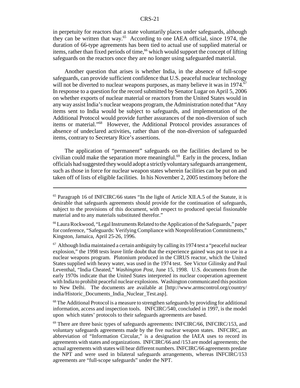in perpetuity for reactors that a state voluntarily places under safeguards, although they can be written that way.65 According to one IAEA official, since 1974, the duration of 66-type agreements has been tied to actual use of supplied material or items, rather than fixed periods of time,<sup>66</sup> which would support the concept of lifting safeguards on the reactors once they are no longer using safeguarded material.

Another question that arises is whether India, in the absence of full-scope safeguards, can provide sufficient confidence that U.S. peaceful nuclear technology will not be diverted to nuclear weapons purposes, as many believe it was in  $1974$ .<sup>67</sup> In response to a question for the record submitted by Senator Lugar on April 5, 2006 on whether exports of nuclear material or reactors from the United States would in any way assist India's nuclear weapons program, the Administration noted that "Any items sent to India would be subject to safeguards, and implementation of the Additional Protocol would provide further assurances of the non-diversion of such items or material."68 However, the Additional Protocol provides assurances of absence of undeclared activities, rather than of the non-diversion of safeguarded items, contrary to Secretary Rice's assertions.

The application of "permanent" safeguards on the facilities declared to be civilian could make the separation more meaningful.<sup>69</sup> Early in the process, Indian officials had suggested they would adopt a strictly voluntary safeguards arrangement, such as those in force for nuclear weapon states wherein facilities can be put on and taken off of lists of eligible facilities. In his November 2, 2005 testimony before the

 $68$  The Additional Protocol is a measure to strengthen safeguards by providing for additional information, access and inspection tools. INFCIRC/540, concluded in 1997, is the model upon which states' protocols to their safeguards agreements are based.

<sup>65</sup> Paragraph 16 of INFCIRC/66 states "In the light of Article XII.A.5 of the Statute, it is desirable that safeguards agreements should provide for the continuation of safeguards, subject to the provisions of this document, with respect to produced special fissionable material and to any materials substituted therefor."

<sup>66</sup> Laura Rockwood, "Legal Instruments Related to the Application of the Safeguards," paper for conference, "Safeguards: Verifying Compliance with Nonproliferation Commitments," Kingston, Jamaica, April 25-26, 1996.

 $67$  Although India maintained a certain ambiguity by calling its 1974 test a "peaceful nuclear" explosion," the 1998 tests leave little doubt that the experience gained was put to use in a nuclear weapons program. Plutonium produced in the CIRUS reactor, which the United States supplied with heavy water, was used in the 1974 test. See Victor Gilinsky and Paul Leventhal, "India Cheated," *Washington Post*, June 15, 1998. U.S. documents from the early 1970s indicate that the United States interpreted its nuclear cooperation agreement with India to prohibit peaceful nuclear explosions. Washington communicated this position to New Delhi. The documents are available at [http://www.armscontrol.org/country/ india/Historic\_Documents\_India\_Nuclear\_Test.asp].

 $69$  There are three basic types of safeguards agreements: INFCIRC/66, INFCIRC/153, and voluntary safeguards agreements made by the five nuclear weapon states. INFCIRC, an abbreviation of "Information Circular," is a designation the IAEA uses to record its agreements with states and organizations. INFCIRC/66 and /153 are model agreements; the actual agreements with states will bear different numbers. INFCIRC/66 agreements predate the NPT and were used in bilateral safeguards arrangements, whereas INFCIRC/153 agreements are "full-scope safeguards" under the NPT.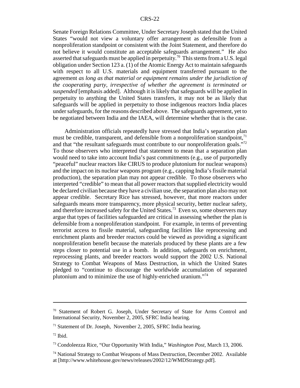Senate Foreign Relations Committee, Under Secretary Joseph stated that the United States "would not view a voluntary offer arrangement as defensible from a nonproliferation standpoint or consistent with the Joint Statement, and therefore do not believe it would constitute an acceptable safeguards arrangement." He also asserted that safeguards must be applied in perpetuity.<sup>70</sup> This stems from a U.S. legal obligation under Section 123 a. (1) of the Atomic Energy Act to maintain safeguards with respect to all U.S. materials and equipment transferred pursuant to the agreement *as long as that material or equipment remains under the jurisdiction of the cooperating party, irrespective of whether the agreement is terminated or suspended* [emphasis added]. Although it is likely that safeguards will be applied in perpetuity to anything the United States transfers, it may not be as likely that safeguards will be applied in perpetuity to those indigenous reactors India places under safeguards, for the reasons described above. The safeguards agreement, yet to be negotiated between India and the IAEA, will determine whether that is the case.

Administration officials repeatedly have stressed that India's separation plan must be credible, transparent, and defensible from a nonproliferation standpoint, $^{71}$ and that "the resultant safeguards must contribute to our nonproliferation goals."<sup>72</sup> To those observers who interpreted that statement to mean that a separation plan would need to take into account India's past commitments (e.g., use of purportedly "peaceful" nuclear reactors like CIRUS to produce plutonium for nuclear weapons) and the impact on its nuclear weapons program (e.g., capping India's fissile material production), the separation plan may not appear credible. To those observers who interpreted "credible" to mean that all power reactors that supplied electricity would be declared civilian because they have a civilian use, the separation plan also may not appear credible. Secretary Rice has stressed, however, that more reactors under safeguards means more transparency, more physical security, better nuclear safety, and therefore increased safety for the United States.<sup>73</sup> Even so, some observers may argue that types of facilities safeguarded are critical in assessing whether the plan is defensible from a nonproliferation standpoint. For example, in terms of preventing terrorist access to fissile material, safeguarding facilities like reprocessing and enrichment plants and breeder reactors could be viewed as providing a significant nonproliferation benefit because the materials produced by these plants are a few steps closer to potential use in a bomb. In addition, safeguards on enrichment, reprocessing plants, and breeder reactors would support the 2002 U.S. National Strategy to Combat Weapons of Mass Destruction, in which the United States pledged to "continue to discourage the worldwide accumulation of separated plutonium and to minimize the use of highly-enriched uranium."74

<sup>70</sup> Statement of Robert G. Joseph, Under Secretary of State for Arms Control and International Security, November 2, 2005, SFRC India hearing.

<sup>71</sup> Statement of Dr. Joseph, November 2, 2005, SFRC India hearing.

 $72$  Ibid.

<sup>73</sup> Condoleezza Rice, "Our Opportunity With India," *Washington Post*, March 13, 2006.

<sup>74</sup> National Strategy to Combat Weapons of Mass Destruction, December 2002. Available at [http://www.whitehouse.gov/news/releases/2002/12/WMDStrategy.pdf].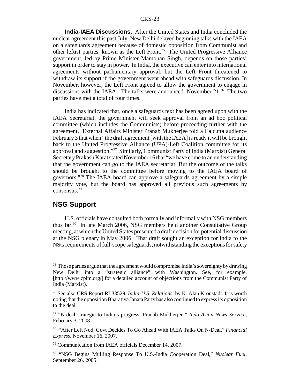**India-IAEA Discussions.** After the United States and India concluded the nuclear agreement this past July, New Delhi delayed beginning talks with the IAEA on a safeguards agreement because of domestic opposition from Communist and other leftist parties, known as the Left Front.<sup>75</sup> The United Progressive Alliance government, led by Prime Minister Mamohan Singh, depends on those parties' support in order to stay in power. In India, the executive can enter into international agreements without parliamentary approval, but the Left Front threatened to withdraw its support if the government went ahead with safeguards discussion. In November, however, the Left Front agreed to allow the government to engage in discussions with the IAEA. The talks were announced November  $21<sup>76</sup>$  The two parties have met a total of four times.

India has indicated that, once a safeguards text has been agreed upon with the IAEA Secretariat, the government will seek approval from an ad hoc political committee (which includes the Communists) before proceeding further with the agreement. External Affairs Minister Pranab Mukherjee told a Calcutta audience February 3 that when "the draft agreement [with the IAEA] is ready it will be brought back to the United Progressive Alliance (UPA)-Left Coalition committee for its approval and suggestion."77 Similarly, Communist Party of India (Marxist) General Secretary Prakash Karat stated November 16 that "we have come to an understanding that the government can go to the IAEA secretariat. But the outcome of the talks should be brought to the committee before moving to the IAEA board of governors."78 The IAEA board can approve a safeguards agreement by a simple majority vote, but the board has approved all previous such agreements by consensus.79

#### **NSG Support**

U.S. officials have consulted both formally and informally with NSG members thus far.80 In late March 2006, NSG members held another Consultative Group meeting, at which the United States presented a draft decision for potential discussion at the NSG plenary in May 2006. That draft sought an exception for India to the NSG requirements of full-scope safeguards, notwithstanding the exceptions for safety

<sup>&</sup>lt;sup>75</sup> Those parties argue that the agreement would compromise India's sovereignty by drawing New Delhi into a "strategic alliance" with Washington. See, for example, [http://www.cpim.org/] for a detailed account of objections from the Communist Party of India (Marxist).

<sup>76</sup> See also CRS Report RL33529, *India-U.S. Relations*, by K. Alan Kronstadt. It is worth noting that the opposition Bharatiya Janata Party has also continued to express its opposition to the deal.

<sup>77 &</sup>quot;N-deal strategic to India's progress: Pranab Mukherjee," *Indo Asian News Service*, February 3, 2008.

<sup>78 &</sup>quot;After Left Nod, Govt Decides To Go Ahead With IAEA Talks On N-Deal," *Financial Express*, November 16, 2007.

<sup>79</sup> Communication from IAEA officials December 14, 2007.

<sup>80 &</sup>quot;NSG Begins Mulling Response To U.S.-India Cooperation Deal," *Nuclear Fuel*, September 26, 2005.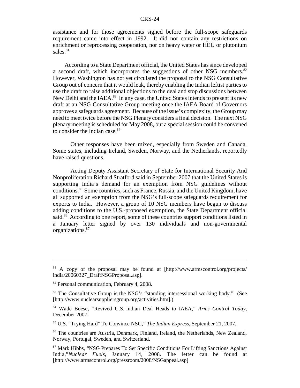assistance and for those agreements signed before the full-scope safeguards requirement came into effect in 1992. It did not contain any restrictions on enrichment or reprocessing cooperation, nor on heavy water or HEU or plutonium sales.<sup>81</sup>

According to a State Department official, the United States has since developed a second draft, which incorporates the suggestions of other NSG members.<sup>82</sup> However, Washington has not yet circulated the proposal to the NSG Consultative Group out of concern that it would leak, thereby enabling the Indian leftist parties to use the draft to raise additional objections to the deal and stop discussions between New Delhi and the IAEA.<sup>83</sup> In any case, the United States intends to present its new draft at an NSG Consultative Group meeting once the IAEA Board of Governors approves a safeguards agreement. Because of the issue's complexity, the Group may need to meet twice before the NSG Plenary considers a final decision. The next NSG plenary meeting is scheduled for May 2008, but a special session could be convened to consider the Indian case.<sup>84</sup>

Other responses have been mixed, especially from Sweden and Canada. Some states, including Ireland, Sweden, Norway, and the Netherlands, reportedly have raised questions.

Acting Deputy Assistant Secretary of State for International Security And Nonproliferation Richard Stratford said in September 2007 that the United States is supporting India's demand for an exemption from NSG guidelines without conditions.85 Some countries, such as France, Russia, and the United Kingdom, have all supported an exemption from the NSG's full-scope safeguards requirement for exports to India. However, a group of 10 NSG members have begun to discuss adding conditions to the U.S.-proposed exemption, the State Department official said.<sup>86</sup> According to one report, some of these countries support conditions listed in a January letter signed by over 130 individuals and non-governmental organizations.87

 $81$  A copy of the proposal may be found at [http://www.armscontrol.org/projects/ india/20060327\_DraftNSGProposal.asp].

<sup>&</sup>lt;sup>82</sup> Personal communication, February 4, 2008.

<sup>83</sup> The Consultative Group is the NSG's "standing intersessional working body." (See [http://www.nuclearsuppliersgroup.org/activities.htm].)

<sup>84</sup> Wade Boese, "Revived U.S.-Indian Deal Heads to IAEA," *Arms Control Today*, December 2007.

<sup>85</sup> U.S. "Trying Hard" To Convince NSG," *The Indian Express*, September 21, 2007.

<sup>86</sup> The countries are Austria, Denmark, Finland, Ireland, the Netherlands, New Zealand, Norway, Portugal, Sweden, and Switzerland.

<sup>87</sup> Mark Hibbs, "NSG Prepares To Set Specific Conditions For Lifting Sanctions Against India,"*Nuclear Fuels*, January 14, 2008. The letter can be found at [http://www.armscontrol.org/pressroom/2008/NSGappeal.asp]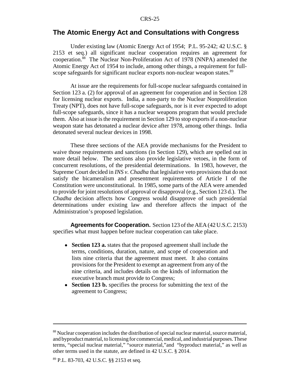#### **The Atomic Energy Act and Consultations with Congress**

Under existing law (Atomic Energy Act of 1954; P.L. 95-242; 42 U.S.C. § 2153 et seq.) all significant nuclear cooperation requires an agreement for cooperation.88 The Nuclear Non-Proliferation Act of 1978 (NNPA) amended the Atomic Energy Act of 1954 to include, among other things, a requirement for fullscope safeguards for significant nuclear exports non-nuclear weapon states.<sup>89</sup>

At issue are the requirements for full-scope nuclear safeguards contained in Section 123 a. (2) for approval of an agreement for cooperation and in Section 128 for licensing nuclear exports. India, a non-party to the Nuclear Nonproliferation Treaty (NPT), does not have full-scope safeguards, nor is it ever expected to adopt full-scope safeguards, since it has a nuclear weapons program that would preclude them. Also at issue is the requirement in Section 129 to stop exports if a non-nuclear weapon state has detonated a nuclear device after 1978, among other things. India detonated several nuclear devices in 1998.

These three sections of the AEA provide mechanisms for the President to waive those requirements and sanctions (in Section 129), which are spelled out in more detail below. The sections also provide legislative vetoes, in the form of concurrent resolutions, of the presidential determinations. In 1983, however, the Supreme Court decided in *INS v. Chadha* that legislative veto provisions that do not satisfy the bicameralism and presentment requirements of Article I of the Constitution were unconstitutional. In 1985, some parts of the AEA were amended to provide for joint resolutions of approval or disapproval (e.g., Section 123 d.). The *Chadha* decision affects how Congress would disapprove of such presidential determinations under existing law and therefore affects the impact of the Administration's proposed legislation.

**Agreements for Cooperation.** Section 123 of the AEA (42 U.S.C. 2153) specifies what must happen before nuclear cooperation can take place.

- ! **Section 123 a.** states that the proposed agreement shall include the terms, conditions, duration, nature, and scope of cooperation and lists nine criteria that the agreement must meet. It also contains provisions for the President to exempt an agreement from any of the nine criteria, and includes details on the kinds of information the executive branch must provide to Congress;
- **Section 123 b.** specifies the process for submitting the text of the agreement to Congress;

<sup>&</sup>lt;sup>88</sup> Nuclear cooperation includes the distribution of special nuclear material, source material, and byproduct material, to licensing for commercial, medical, and industrial purposes. These terms, "special nuclear material," "source material,"and "byproduct material," as well as other terms used in the statute, are defined in 42 U.S.C. § 2014.

<sup>89</sup> P.L. 83-703, 42 U.S.C. §§ 2153 et seq.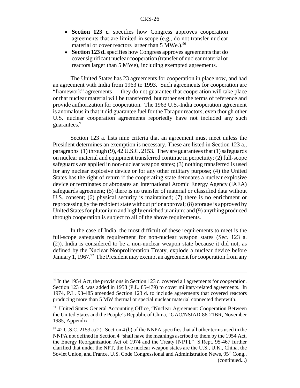- **Section 123 c.** specifies how Congress approves cooperation agreements that are limited in scope (e.g., do not transfer nuclear material or cover reactors larger than  $5 \text{ MWe.}$ .  $\frac{90}{90}$
- **Section 123 d.** specifies how Congress approves agreements that do cover significant nuclear cooperation (transfer of nuclear material or reactors larger than 5 MWe), including exempted agreements.

The United States has 23 agreements for cooperation in place now, and had an agreement with India from 1963 to 1993. Such agreements for cooperation are "framework" agreements — they do not guarantee that cooperation will take place or that nuclear material will be transferred, but rather set the terms of reference and provide authorization for cooperation. The 1963 U.S.-India cooperation agreement is anomalous in that it did guarantee fuel for the Tarapur reactors, even though other U.S. nuclear cooperation agreements reportedly have not included any such guarantees.<sup>91</sup>

Section 123 a. lists nine criteria that an agreement must meet unless the President determines an exemption is necessary. These are listed in Section 123 a., paragraphs (1) through (9), 42 U.S.C. 2153. They are guarantees that (1) safeguards on nuclear material and equipment transferred continue in perpetuity; (2) full-scope safeguards are applied in non-nuclear weapon states; (3) nothing transferred is used for any nuclear explosive device or for any other military purpose; (4) the United States has the right of return if the cooperating state detonates a nuclear explosive device or terminates or abrogates an International Atomic Energy Agency (IAEA) safeguards agreement; (5) there is no transfer of material or classified data without U.S. consent; (6) physical security is maintained; (7) there is no enrichment or reprocessing by the recipient state without prior approval; (8) storage is approved by United States for plutonium and highly enriched uranium; and (9) anything produced through cooperation is subject to all of the above requirements.

In the case of India, the most difficult of these requirements to meet is the full-scope safeguards requirement for non-nuclear weapon states (Sec. 123 a. (2)). India is considered to be a non-nuclear weapon state because it did not, as defined by the Nuclear Nonproliferation Treaty, explode a nuclear device before January 1, 1967.<sup>92</sup> The President may exempt an agreement for cooperation from any

 $90$  In the 1954 Act, the provisions in Section 123 c. covered all agreements for cooperation. Section 123 d. was added in 1958 (P.L. 85-479) to cover military-related agreements. In 1974, P.L. 93-485 amended Section 123 d. to include agreements that covered reactors producing more than 5 MW thermal or special nuclear material connected therewith.

<sup>&</sup>lt;sup>91</sup> United States General Accounting Office, "Nuclear Agreement: Cooperation Between the United States and the People's Republic of China," GAO/NSIAD-86-21BR, November 1985, Appendix I-1.

 $92$  42 U.S.C. 2153 a.(2). Section 4 (b) of the NNPA specifies that all other terms used in the NNPA not defined in Section 4 "shall have the meanings ascribed to them by the 1954 Act, the Energy Reorganization Act of 1974 and the Treaty [NPT]." S.Rept. 95-467 further clarified that under the NPT, the five nuclear weapon states are the U.S., U.K., China, the Soviet Union, and France. U.S. Code Congressional and Administration News, 95<sup>th</sup> Cong., (continued...)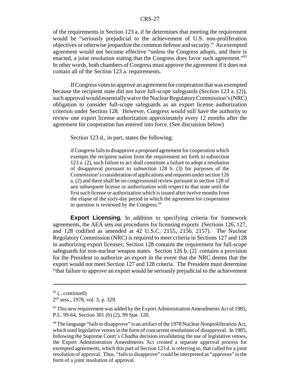of the requirements in Section 123 a. if he determines that meeting the requirement would be "seriously prejudicial to the achievement of U.S. non-proliferation objectives or otherwise jeopardize the common defense and security." An exempted agreement would not become effective "unless the Congress adopts, and there is enacted, a joint resolution stating that the Congress does favor such agreement."<sup>93</sup> In other words, both chambers of Congress must approve the agreement if it does not contain all of the Section 123 a. requirements.

If Congress votes to approve an agreement for cooperation that was exempted because the recipient state did not have full-scope safeguards (Section 123 a. (2)), such approval would essentially waive the Nuclear Regulatory Commission's (NRC) obligation to consider full-scope safeguards as an export license authorization criterion under Section 128. However, Congress would still have the authority to review one export license authorization approximately every 12 months after the agreement for cooperation has entered into force. (See discussion below)

Section 123 d., in part, states the following:

if Congress fails to disapprove a proposed agreement for cooperation which exempts the recipient nation from the requirement set forth in subsection 123 a. (2), such failure to act shall constitute a failure to adopt a resolution of disapproval pursuant to subsection 128 b. (3) for purposes of the Commission's consideration of applications and requests under section 126 a. (2) and there shall be no congressional review pursuant to section 128 of any subsequent license or authorization with respect to that state until the first such license or authorization which is issued after twelve months from the elapse of the sixty-day period in which the agreement for cooperation in question is reviewed by the Congress.<sup>94</sup>

**Export Licensing.** In addition to specifying criteria for framework agreements, the AEA sets out procedures for licensing exports (Sections 126, 127, and 128 codified as amended at 42 U.S.C. 2155, 2156, 2157). The Nuclear Regulatory Commission (NRC) is required to meet criteria in Sections 127 and 128 in authorizing export licenses; Section 128 contains the requirement for full-scope safeguards for non-nuclear weapon states. Section 126 b. (2) contains a provision for the President to authorize an export in the event that the NRC deems that the export would not meet Section 127 and 128 criteria. The President must determine "that failure to approve an export would be seriously prejudicial to the achievement

 $92$  (...continued)

<sup>2</sup>nd sess., 1978, vol. 3, p. 329.

 $93$  This new requirement was added by the Export Administration Amendments Act of 1985, P.L. 99-64, Section 301 (b) (2), 99 Stat. 120.

 $94$  The language "fails to disapprove" is an artifact of the 1978 Nuclear Nonproliferation Act, which used legislative vetoes in the form of concurrent resolutions of disapproval. In 1985, following the Supreme Court's *Chadha* decision invalidating the use of legislative vetoes, the Export Administration Amendments Act created a separate approval process for exempted agreements, which this part of Section 123 d. is referring to, that called for a joint resolution of approval. Thus, "fails to disapprove" could be interpreted as "approves" in the form of a joint resolution of approval.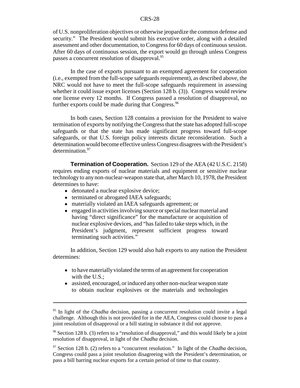of U.S. nonproliferation objectives or otherwise jeopardize the common defense and security." The President would submit his executive order, along with a detailed assessment and other documentation, to Congress for 60 days of continuous session. After 60 days of continuous session, the export would go through unless Congress passes a concurrent resolution of disapproval.<sup>95</sup>

In the case of exports pursuant to an exempted agreement for cooperation (i.e., exempted from the full-scope safeguards requirement), as described above, the NRC would not have to meet the full-scope safeguards requirement in assessing whether it could issue export licenses (Section 128 b. (3)). Congress would review one license every 12 months. If Congress passed a resolution of disapproval, no further exports could be made during that Congress.  $96$ 

In both cases, Section 128 contains a provision for the President to waive termination of exports by notifying the Congress that the state has adopted full-scope safeguards or that the state has made significant progress toward full-scope safeguards, or that U.S. foreign policy interests dictate reconsideration. Such a determination would become effective unless Congress disagrees with the President's determination.<sup>97</sup>

**Termination of Cooperation.** Section 129 of the AEA (42 U.S.C. 2158) requires ending exports of nuclear materials and equipment or sensitive nuclear technology to any non-nuclear-weapon state that, after March 10, 1978, the President determines to have:

- detonated a nuclear explosive device;
- terminated or abrogated IAEA safeguards;
- materially violated an IAEA safeguards agreement; or
- engaged in activities involving source or special nuclear material and having "direct significance" for the manufacture or acquisition of nuclear explosive devices, and "has failed to take steps which, in the President's judgment, represent sufficient progress toward terminating such activities."

In addition, Section 129 would also halt exports to any nation the President determines:

- to have materially violated the terms of an agreement for cooperation with the U.S.:
- assisted, encouraged, or induced any other non-nuclear weapon state to obtain nuclear explosives or the materials and technologies

<sup>&</sup>lt;sup>95</sup> In light of the *Chadha* decision, passing a concurrent resolution could invite a legal challenge. Although this is not provided for in the AEA, Congress could choose to pass a joint resolution of disapproval or a bill stating in substance it did not approve.

<sup>96</sup> Section 128 b. (3) refers to a "resolution of disapproval," and this would likely be a joint resolution of disapproval, in light of the *Chadha* decision.

<sup>97</sup> Section 128 b. (2) refers to a "concurrent resolution." In light of the *Chadha* decision, Congress could pass a joint resolution disagreeing with the President's determination, or pass a bill barring nuclear exports for a certain period of time to that country.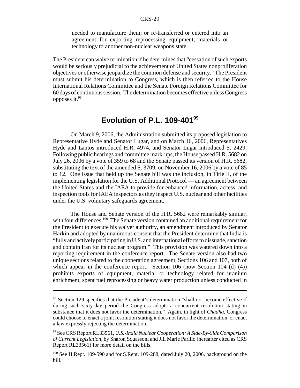needed to manufacture them; or re-transferred or entered into an agreement for exporting reprocessing equipment, materials or technology to another non-nuclear weapons state.

The President can waive termination if he determines that "cessation of such exports would be seriously prejudicial to the achievement of United States nonproliferation objectives or otherwise jeopardize the common defense and security." The President must submit his determination to Congress, which is then referred to the House International Relations Committee and the Senate Foreign Relations Committee for 60 days of continuous session. The determination becomes effective unless Congress opposes it.98

## **Evolution of P.L. 109-40199**

On March 9, 2006, the Administration submitted its proposed legislation to Representative Hyde and Senator Lugar, and on March 16, 2006, Representatives Hyde and Lantos introduced H.R. 4974, and Senator Lugar introduced S. 2429. Following public hearings and committee mark-ups, the House passed H.R. 5682 on July 26, 2006 by a vote of 359 to 68 and the Senate passed its version of H.R. 5682, substituting the text of the amended S. 3709, on November 16, 2006 by a vote of 85 to 12. One issue that held up the Senate bill was the inclusion, in Title II, of the implementing legislation for the U.S. Additional Protocol — an agreement between the United States and the IAEA to provide for enhanced information, access, and inspection tools for IAEA inspectors as they inspect U.S. nuclear and other facilities under the U.S. voluntary safeguards agreement.

The House and Senate version of the H.R. 5682 were remarkably similar, with four differences.<sup>100</sup> The Senate version contained an additional requirement for the President to execute his waiver authority, an amendment introduced by Senator Harkin and adopted by unanimous consent that the President determine that India is "fully and actively participating in U.S. and international efforts to dissuade, sanction and contain Iran for its nuclear program." This provision was watered down into a reporting requirement in the conference report. The Senate version also had two unique sections related to the cooperation agreement, Sections 106 and 107, both of which appear in the conference report. Section 106 (now Section 104 (d) (4)) prohibits exports of equipment, material or technology related for uranium enrichment, spent fuel reprocessing or heavy water production unless conducted in

<sup>&</sup>lt;sup>98</sup> Section 129 specifies that the President's determination "shall not become effective if during such sixty-day period the Congress adopts a concurrent resolution stating in substance that it does not favor the determination." Again, in light of *Chadha,* Congress could choose to enact a joint resolution stating it does not favor the determination, or enact a law expressly rejecting the determination.

<sup>99</sup> See CRS Report RL33561, *U.S.-India Nuclear Cooperation: A Side-By-Side Comparison of Current Legislation*, by Sharon Squassoni and Jill Marie Parillo (hereafter cited as CRS Report RL33561) for more detail on the bills.

<sup>&</sup>lt;sup>100</sup> See H.Rept. 109-590 and for S.Rept. 109-288, dated July 20, 2006, background on the bill.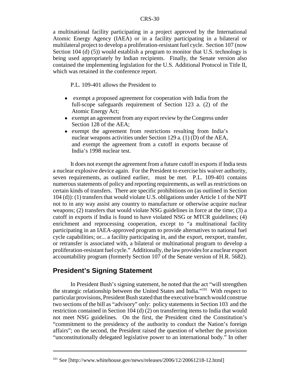a multinational facility participating in a project approved by the International Atomic Energy Agency (IAEA) or in a facility participating in a bilateral or multilateral project to develop a proliferation-resistant fuel cycle. Section 107 (now Section 104 (d) (5)) would establish a program to monitor that U.S. technology is being used appropriately by Indian recipients. Finally, the Senate version also contained the implementing legislation for the U.S. Additional Protocol in Title II, which was retained in the conference report.

P.L. 109-401 allows the President to

- exempt a proposed agreement for cooperation with India from the full-scope safeguards requirement of Section 123 a. (2) of the Atomic Energy Act;
- exempt an agreement from any export review by the Congress under Section 128 of the AEA;
- exempt the agreement from restrictions resulting from India's nuclear weapons activities under Section 129 a. (1) (D) of the AEA, and exempt the agreement from a cutoff in exports because of India's 1998 nuclear test.

It does not exempt the agreement from a future cutoff in exports if India tests a nuclear explosive device again. For the President to exercise his waiver authority, seven requirements, as outlined earlier, must be met. P.L. 109-401 contains numerous statements of policy and reporting requirements, as well as restrictions on certain kinds of transfers. There are specific prohibitions on (as outlined in Section 104 (d)): (1) transfers that would violate U.S. obligations under Article 1 of the NPT not to in any way assist any country to manufacture or otherwise acquire nuclear weapons; (2) transfers that would violate NSG guidelines in force at the time; (3) a cutoff in exports if India is found to have violated NSG or MTCR guidelines; (4) enrichment and reprocessing cooperation, except to "a multinational facility participating in an IAEA-approved program to provide alternatives to national fuel cycle capabilities; or... a facility participating in, and the export, reexport, transfer, or retransfer is associated with, a bilateral or multinational program to develop a proliferation-resistant fuel cycle." Additionally, the law provides for a nuclear export accountability program (formerly Section 107 of the Senate version of H.R. 5682).

## **President's Signing Statement**

In President Bush's signing statement, he noted that the act "will strengthen the strategic relationship between the United States and India."101 With respect to particular provisions, President Bush stated that the executive branch would construe two sections of the bill as "advisory" only: policy statements in Section 103 and the restriction contained in Section 104 (d) (2) on transferring items to India that would not meet NSG guidelines. On the first, the President cited the Constitution's "commitment to the presidency of the authority to conduct the Nation's foreign affairs"; on the second, the President raised the question of whether the provision "unconstitutionally delegated legislative power to an international body." In other

<sup>&</sup>lt;sup>101</sup> See [http://www.whitehouse.gov/news/releases/2006/12/20061218-12.html]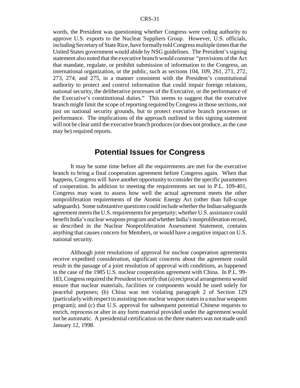words, the President was questioning whether Congress were ceding authority to approve U.S. exports to the Nuclear Suppliers Group. However, U.S. officials, including Secretary of State Rice, have formally told Congress multiple times that the United States government would abide by NSG guidelines. The President's signing statement also noted that the executive branch would construe "provisions of the Act that mandate, regulate, or prohibit submission of information to the Congress, an international organization, or the public, such as sections 104, 109, 261, 271, 272, 273, 274, and 275, in a manner consistent with the President's constitutional authority to protect and control information that could impair foreign relations, national security, the deliberative processes of the Executive, or the performance of the Executive's constitutional duties." This seems to suggest that the executive branch might limit the scope of reporting required by Congress in those sections, not just on national security grounds, but to protect executive branch processes or performance. The implications of the approach outlined in this signing statement will not be clear until the executive branch produces (or does not produce, as the case may be) required reports.

## **Potential Issues for Congress**

It may be some time before all the requirements are met for the executive branch to bring a final cooperation agreement before Congress again. When that happens, Congress will have another opportunity to consider the specific parameters of cooperation. In addition to meeting the requirements set out in P.L. 109-401, Congress may want to assess how well the actual agreement meets the other nonproliferation requirements of the Atomic Energy Act (other than full-scope safeguards). Some substantive questions could include whether the Indian safeguards agreement meets the U.S. requirements for perpetuity; whether U.S. assistance could benefit India's nuclear weapons program and whether India's nonproliferation record, as described in the Nuclear Nonproliferation Assessment Statement, contains anything that causes concern for Members, or would have a negative impact on U.S. national security.

Although joint resolutions of approval for nuclear cooperation agreements receive expedited consideration, significant concerns about the agreement could result in the passage of a joint resolution of approval with conditions, as happened in the case of the 1985 U.S. nuclear cooperation agreement with China. In P.L. 99- 183, Congress required the President to certify that (a) reciprocal arrangements would ensure that nuclear materials, facilities or components would be used solely for peaceful purposes; (b) China was not violating paragraph 2 of Section 129 (particularly with respect to assisting non-nuclear weapon states in a nuclear weapons program); and (c) that U.S. approval for subsequent potential Chinese requests to enrich, reprocess or alter in any form material provided under the agreement would not be automatic. A presidential certification on the three matters was not made until January 12, 1998.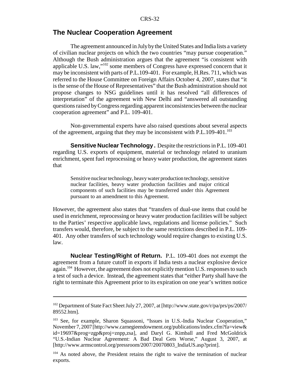#### **The Nuclear Cooperation Agreement**

The agreement announced in July by the United States and India lists a variety of civilian nuclear projects on which the two countries "may pursue cooperation." Although the Bush administration argues that the agreement "is consistent with applicable U.S. law,"102 some members of Congress have expressed concern that it may be inconsistent with parts of P.L.109-401. For example, H.Res. 711, which was referred to the House Committee on Foreign Affairs October 4, 2007, states that "it is the sense of the House of Representatives" that the Bush administration should not propose changes to NSG guidelines until it has resolved "all differences of interpretation" of the agreement with New Delhi and "answered all outstanding questions raised by Congress regarding apparent inconsistencies between the nuclear cooperation agreement" and P.L. 109-401.

Non-governmental experts have also raised questions about several aspects of the agreement, arguing that they may be inconsistent with P.L.109-401.<sup>103</sup>

**Sensitive Nuclear Technology .** Despite the restrictions in P.L. 109-401 regarding U.S. exports of equipment, material or technology related to uranium enrichment, spent fuel reprocessing or heavy water production, the agreement states that

Sensitive nuclear technology, heavy water production technology, sensitive nuclear facilities, heavy water production facilities and major critical components of such facilities may be transferred under this Agreement pursuant to an amendment to this Agreement.

However, the agreement also states that "transfers of dual-use items that could be used in enrichment, reprocessing or heavy water production facilities will be subject to the Parties' respective applicable laws, regulations and license policies." Such transfers would, therefore, be subject to the same restrictions described in P.L. 109- 401. Any other transfers of such technology would require changes to existing U.S. law.

**Nuclear Testing/Right of Return.** P.L. 109-401 does not exempt the agreement from a future cutoff in exports if India tests a nuclear explosive device again.<sup>104</sup> However, the agreement does not explicitly mention U.S. responses to such a test of such a device. Instead, the agreement states that "either Party shall have the right to terminate this Agreement prior to its expiration on one year's written notice

<sup>102</sup> Department of State Fact Sheet July 27, 2007, at [http://www.state.gov/r/pa/prs/ps/2007/ 89552.htm].

<sup>&</sup>lt;sup>103</sup> See, for example, Sharon Squassoni, "Issues in U.S.-India Nuclear Cooperation," November 7, 2007 [http://www.carnegieendowment.org/publications/index.cfm?fa=view& id=19697&prog=zgp&proj=znpp,zsa], and Daryl G. Kimball and Fred McGoldrick "U.S.-Indian Nuclear Agreement: A Bad Deal Gets Worse," August 3, 2007, at [http://www.armscontrol.org/pressroom/2007/20070803\_IndiaUS.asp?print].

 $104$  As noted above, the President retains the right to waive the termination of nuclear exports.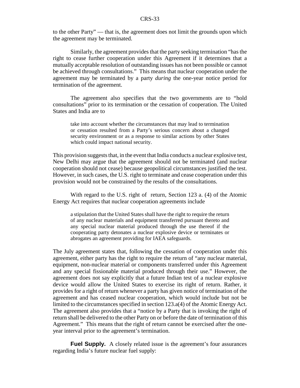to the other Party" — that is, the agreement does not limit the grounds upon which the agreement may be terminated.

Similarly, the agreement provides that the party seeking termination "has the right to cease further cooperation under this Agreement if it determines that a mutually acceptable resolution of outstanding issues has not been possible or cannot be achieved through consultations." This means that nuclear cooperation under the agreement may be terminated by a party *during* the one-year notice period for termination of the agreement.

The agreement also specifies that the two governments are to "hold consultations" prior to its termination or the cessation of cooperation. The United States and India are to

take into account whether the circumstances that may lead to termination or cessation resulted from a Party's serious concern about a changed security environment or as a response to similar actions by other States which could impact national security.

This provision suggests that, in the event that India conducts a nuclear explosive test, New Delhi may argue that the agreement should not be terminated (and nuclear cooperation should not cease) because geopolitical circumstances justified the test. However, in such cases, the U.S. right to terminate and cease cooperation under this provision would not be constrained by the results of the consultations.

With regard to the U.S. right of return, Section 123 a. (4) of the Atomic Energy Act requires that nuclear cooperation agreements include

a stipulation that the United States shall have the right to require the return of any nuclear materials and equipment transferred pursuant thereto and any special nuclear material produced through the use thereof if the cooperating party detonates a nuclear explosive device or terminates or abrogates an agreement providing for IAEA safeguards.

The July agreement states that, following the cessation of cooperation under this agreement, either party has the right to require the return of "any nuclear material, equipment, non-nuclear material or components transferred under this Agreement and any special fissionable material produced through their use." However, the agreement does not say explicitly that a future Indian test of a nuclear explosive device would allow the United States to exercise its right of return. Rather, it provides for a right of return whenever a party has given notice of termination of the agreement and has ceased nuclear cooperation, which would include but not be limited to the circumstances specified in section 123.a(4) of the Atomic Energy Act. The agreement also provides that a "notice by a Party that is invoking the right of return shall be delivered to the other Party on or before the date of termination of this Agreement." This means that the right of return cannot be exercised after the oneyear interval prior to the agreement's termination.

**Fuel Supply.** A closely related issue is the agreement's four assurances regarding India's future nuclear fuel supply: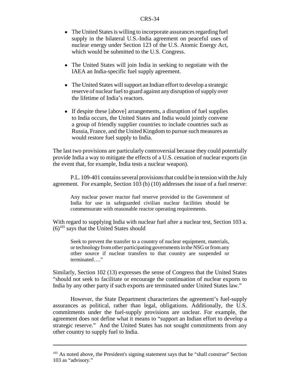- The United States is willing to incorporate assurances regarding fuel supply in the bilateral U.S.-India agreement on peaceful uses of nuclear energy under Section 123 of the U.S. Atomic Energy Act, which would be submitted to the U.S. Congress.
- The United States will join India in seeking to negotiate with the IAEA an India-specific fuel supply agreement.
- The United States will support an Indian effort to develop a strategic reserve of nuclear fuel to guard against any disruption of supply over the lifetime of India's reactors.
- If despite these [above] arrangements, a disruption of fuel supplies to India occurs, the United States and India would jointly convene a group of friendly supplier countries to include countries such as Russia, France, and the United Kingdom to pursue such measures as would restore fuel supply to India.

The last two provisions are particularly controversial because they could potentially provide India a way to mitigate the effects of a U.S. cessation of nuclear exports (in the event that, for example, India tests a nuclear weapon).

P.L. 109-401 contains several provisions that could be in tension with the July agreement. For example, Section 103 (b) (10) addresses the issue of a fuel reserve:

Any nuclear power reactor fuel reserve provided to the Government of India for use in safeguarded civilian nuclear facilities should be commensurate with reasonable reactor operating requirements.

With regard to supplying India with nuclear fuel after a nuclear test, Section 103 a.  $(6)^{105}$  says that the United States should

Seek to prevent the transfer to a country of nuclear equipment, materials, or technology from other participating governments in the NSG or from any other source if nuclear transfers to that country are suspended or terminated…."

Similarly, Section 102 (13) expresses the sense of Congress that the United States "should not seek to facilitate or encourage the continuation of nuclear exports to India by any other party if such exports are terminated under United States law."

However, the State Department characterizes the agreement's fuel-supply assurances as political, rather than legal, obligations. Additionally, the U.S. commitments under the fuel-supply provisions are unclear. For example, the agreement does not define what it means to "support an Indian effort to develop a strategic reserve." And the United States has not sought commitments from any other country to supply fuel to India.

<sup>&</sup>lt;sup>105</sup> As noted above, the President's signing statement says that he "shall construe" Section 103 as "advisory."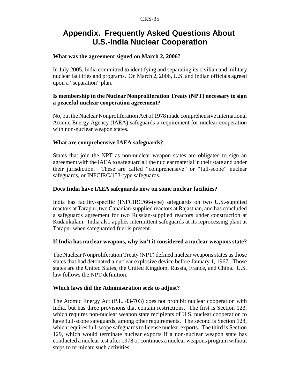# **Appendix. Frequently Asked Questions About U.S.-India Nuclear Cooperation**

#### **What was the agreement signed on March 2, 2006?**

In July 2005, India committed to identifying and separating its civilian and military nuclear facilities and programs. On March 2, 2006, U.S. and Indian officials agreed upon a "separation" plan.

#### **Is membership in the Nuclear Nonproliferation Treaty (NPT) necessary to sign a peaceful nuclear cooperation agreement?**

No, but the Nuclear Nonproliferation Act of 1978 made comprehensive International Atomic Energy Agency (IAEA) safeguards a requirement for nuclear cooperation with non-nuclear weapon states.

#### **What are comprehensive IAEA safeguards?**

States that join the NPT as non-nuclear weapon states are obligated to sign an agreement with the IAEA to safeguard all the nuclear material in their state and under their jurisdiction. These are called "comprehensive" or "full-scope" nuclear safeguards, or INFCIRC/153-type safeguards.

#### **Does India have IAEA safeguards now on some nuclear facilities?**

India has facility-specific (INFCIRC/66-type) safeguards on two U.S.-supplied reactors at Tarapur, two Canadian-supplied reactors at Rajasthan, and has concluded a safeguards agreement for two Russian-supplied reactors under construction at Kudankulam. India also applies intermittent safeguards at its reprocessing plant at Tarapur when safeguarded fuel is present.

#### **If India has nuclear weapons, why isn't it considered a nuclear weapons state?**

The Nuclear Nonproliferation Treaty (NPT) defined nuclear weapons states as those states that had detonated a nuclear explosive device before January 1, 1967. Those states are the United States, the United Kingdom, Russia, France, and China. U.S. law follows the NPT definition.

#### **Which laws did the Administration seek to adjust?**

The Atomic Energy Act (P.L. 83-703) does not prohibit nuclear cooperation with India, but has three provisions that contain restrictions. The first is Section 123, which requires non-nuclear weapon state recipients of U.S. nuclear cooperation to have full-scope safeguards, among other requirements. The second is Section 128, which requires full-scope safeguards to license nuclear exports. The third is Section 129, which would terminate nuclear exports if a non-nuclear weapon state has conducted a nuclear test after 1978 or continues a nuclear weapons program without steps to terminate such activities.